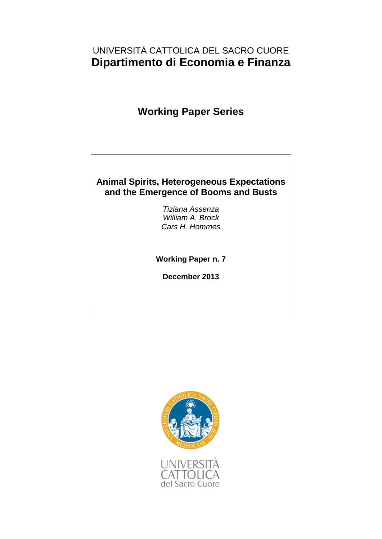## UNIVERSITÀ CATTOLICA DEL SACRO CUORE **Dipartimento di Economia e Finanza**

## **Working Paper Series**

## **Animal Spirits, Heterogeneous Expectations and the Emergence of Booms and Busts**

*Tiziana Assenza William A. Brock Cars H. Hommes*

**Working Paper n. 7**

**December 2013**

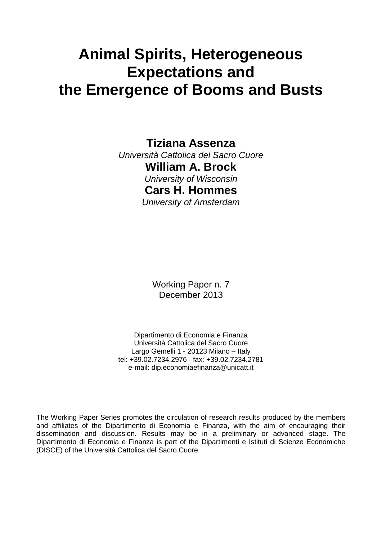# **Animal Spirits, Heterogeneous Expectations and the Emergence of Booms and Busts**

**Tiziana Assenza**

*Università Cattolica del Sacro Cuore* **William A. Brock** *University of Wisconsin* **Cars H. Hommes** *University of Amsterdam*

> Working Paper n. 7 December 2013

Dipartimento di Economia e Finanza Università Cattolica del Sacro Cuore Largo Gemelli 1 - 20123 Milano – Italy tel: +39.02.7234.2976 - fax: +39.02.7234.2781 e-mail: dip.economiaefinanza@unicatt.it

The Working Paper Series promotes the circulation of research results produced by the members and affiliates of the Dipartimento di Economia e Finanza, with the aim of encouraging their dissemination and discussion. Results may be in a preliminary or advanced stage. The Dipartimento di Economia e Finanza is part of the Dipartimenti e Istituti di Scienze Economiche (DISCE) of the Università Cattolica del Sacro Cuore.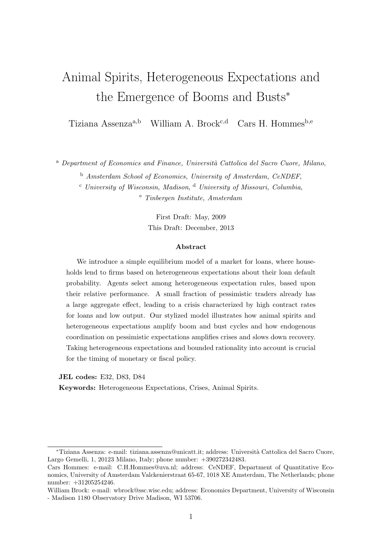# Animal Spirits, Heterogeneous Expectations and the Emergence of Booms and Busts<sup>∗</sup>

Tiziana Assenza<sup>a,b</sup> William A. Brock<sup>c,d</sup> Cars H. Hommes<sup>b,e</sup>

<sup>a</sup> Department of Economics and Finance, Università Cattolica del Sacro Cuore, Milano,

<sup>b</sup> Amsterdam School of Economics, University of Amsterdam, CeNDEF,

<sup>c</sup> University of Wisconsin, Madison, <sup>d</sup> University of Missouri, Columbia,

<sup>e</sup> Tinbergen Institute, Amsterdam

First Draft: May, 2009 This Draft: December, 2013

#### Abstract

We introduce a simple equilibrium model of a market for loans, where households lend to firms based on heterogeneous expectations about their loan default probability. Agents select among heterogeneous expectation rules, based upon their relative performance. A small fraction of pessimistic traders already has a large aggregate effect, leading to a crisis characterized by high contract rates for loans and low output. Our stylized model illustrates how animal spirits and heterogeneous expectations amplify boom and bust cycles and how endogenous coordination on pessimistic expectations amplifies crises and slows down recovery. Taking heterogeneous expectations and bounded rationality into account is crucial for the timing of monetary or fiscal policy.

JEL codes: E32, D83, D84

Keywords: Heterogeneous Expectations, Crises, Animal Spirits.

<sup>∗</sup>Tiziana Assenza: e-mail: tiziana.assenza@unicatt.it; address: Universit`a Cattolica del Sacro Cuore, Largo Gemelli, 1, 20123 Milano, Italy; phone number: +390272342483.

Cars Hommes: e-mail: C.H.Hommes@uva.nl; address: CeNDEF, Department of Quantitative Economics, University of Amsterdam Valckenierstraat 65-67, 1018 XE Amsterdam, The Netherlands; phone number: +31205254246.

William Brock: e-mail: wbrock@ssc.wisc.edu; address: Economics Department, University of Wisconsin - Madison 1180 Observatory Drive Madison, WI 53706.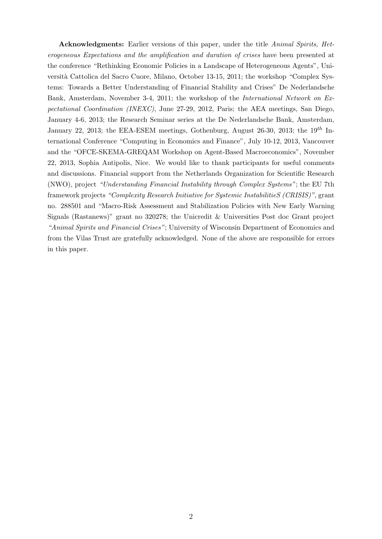Acknowledgments: Earlier versions of this paper, under the title Animal Spirits, Heterogeneous Expectations and the amplification and duration of crises have been presented at the conference "Rethinking Economic Policies in a Landscape of Heterogeneous Agents", Universit`a Cattolica del Sacro Cuore, Milano, October 13-15, 2011; the workshop "Complex Systems: Towards a Better Understanding of Financial Stability and Crises" De Nederlandsche Bank, Amsterdam, November 3-4, 2011; the workshop of the International Network on Expectational Coordination (INEXC), June 27-29, 2012, Paris; the AEA meetings, San Diego, January 4-6, 2013; the Research Seminar series at the De Nederlandsche Bank, Amsterdam, January 22, 2013; the EEA-ESEM meetings, Gothenburg, August 26-30, 2013; the  $19<sup>th</sup>$  International Conference "Computing in Economics and Finance", July 10-12, 2013, Vancouver and the "OFCE-SKEMA-GREQAM Workshop on Agent-Based Macroeconomics", November 22, 2013, Sophia Antipolis, Nice. We would like to thank participants for useful comments and discussions. Financial support from the Netherlands Organization for Scientific Research (NWO), project "Understanding Financial Instability through Complex Systems"; the EU 7th framework projects "Complexity Research Initiative for Systemic InstabilitieS (CRISIS)", grant no. 288501 and "Macro-Risk Assessment and Stabilization Policies with New Early Warning Signals (Rastanews)" grant no 320278; the Unicredit & Universities Post doc Grant project "Animal Spirits and Financial Crises"; University of Wisconsin Department of Economics and from the Vilas Trust are gratefully acknowledged. None of the above are responsible for errors in this paper.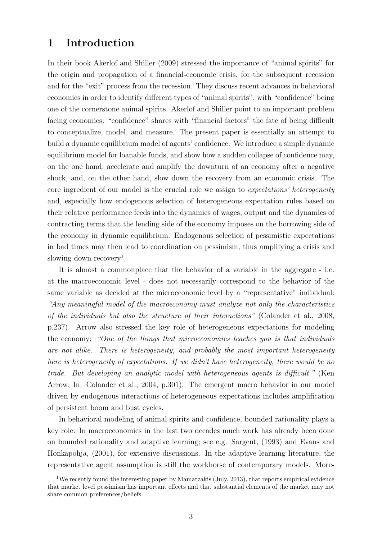## 1 Introduction

In their book Akerlof and Shiller (2009) stressed the importance of "animal spirits" for the origin and propagation of a financial-economic crisis, for the subsequent recession and for the "exit" process from the recession. They discuss recent advances in behavioral economics in order to identify different types of "animal spirits", with "confidence" being one of the cornerstone animal spirits. Akerlof and Shiller point to an important problem facing economics: "confidence" shares with "financial factors" the fate of being difficult to conceptualize, model, and measure. The present paper is essentially an attempt to build a dynamic equilibrium model of agents' confidence. We introduce a simple dynamic equilibrium model for loanable funds, and show how a sudden collapse of confidence may, on the one hand, accelerate and amplify the downturn of an economy after a negative shock, and, on the other hand, slow down the recovery from an economic crisis. The core ingredient of our model is the crucial role we assign to *expectations' heterogeneity* and, especially how endogenous selection of heterogeneous expectation rules based on their relative performance feeds into the dynamics of wages, output and the dynamics of contracting terms that the lending side of the economy imposes on the borrowing side of the economy in dynamic equilibrium. Endogenous selection of pessimistic expectations in bad times may then lead to coordination on pessimism, thus amplifying a crisis and slowing down recovery<sup>1</sup>.

It is almost a commonplace that the behavior of a variable in the aggregate - i.e. at the macroeconomic level - does not necessarily correspond to the behavior of the same variable as decided at the microeconomic level by a "representative" individual: "Any meaningful model of the macroeconomy must analyze not only the characteristics of the individuals but also the structure of their interactions" (Colander et al., 2008, p.237). Arrow also stressed the key role of heterogeneous expectations for modeling the economy: "One of the things that microeconomics teaches you is that individuals are not alike. There is heterogeneity, and probably the most important heterogeneity here is heterogeneity of expectations. If we didn't have heterogeneity, there would be no trade. But developing an analytic model with heterogeneous agents is difficult." (Ken Arrow, In: Colander et al., 2004, p.301). The emergent macro behavior in our model driven by endogenous interactions of heterogeneous expectations includes amplification of persistent boom and bust cycles.

In behavioral modeling of animal spirits and confidence, bounded rationality plays a key role. In macroeconomics in the last two decades much work has already been done on bounded rationality and adaptive learning; see e.g. Sargent, (1993) and Evans and Honkapohja, (2001), for extensive discussions. In the adaptive learning literature, the representative agent assumption is still the workhorse of contemporary models. More-

<sup>&</sup>lt;sup>1</sup>We recently found the interesting paper by Mamatzakis (July, 2013), that reports empirical evidence that market level pessimism has important effects and that substantial elements of the market may not share common preferences/beliefs.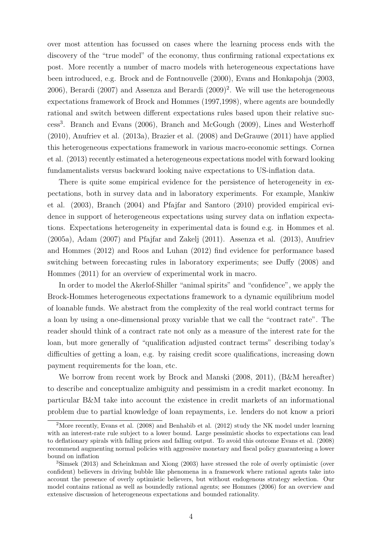over most attention has focussed on cases where the learning process ends with the discovery of the "true model" of the economy, thus confirming rational expectations ex post. More recently a number of macro models with heterogeneous expectations have been introduced, e.g. Brock and de Fontnouvelle (2000), Evans and Honkapohja (2003,  $2006$ ), Berardi (2007) and Assenza and Berardi (2009)<sup>2</sup>. We will use the heterogeneous expectations framework of Brock and Hommes (1997,1998), where agents are boundedly rational and switch between different expectations rules based upon their relative success<sup>3</sup> . Branch and Evans (2006), Branch and McGough (2009), Lines and Westerhoff (2010), Anufriev et al. (2013a), Brazier et al. (2008) and DeGrauwe (2011) have applied this heterogeneous expectations framework in various macro-economic settings. Cornea et al. (2013) recently estimated a heterogeneous expectations model with forward looking fundamentalists versus backward looking naive expectations to US-inflation data.

There is quite some empirical evidence for the persistence of heterogeneity in expectations, both in survey data and in laboratory experiments. For example, Mankiw et al. (2003), Branch (2004) and Pfajfar and Santoro (2010) provided empirical evidence in support of heterogeneous expectations using survey data on inflation expectations. Expectations heterogeneity in experimental data is found e.g. in Hommes et al. (2005a), Adam (2007) and Pfajfar and Zakelj (2011). Assenza et al. (2013), Anufriev and Hommes (2012) and Roos and Luhan (2012) find evidence for performance based switching between forecasting rules in laboratory experiments; see Duffy (2008) and Hommes (2011) for an overview of experimental work in macro.

In order to model the Akerlof-Shiller "animal spirits" and "confidence", we apply the Brock-Hommes heterogeneous expectations framework to a dynamic equilibrium model of loanable funds. We abstract from the complexity of the real world contract terms for a loan by using a one-dimensional proxy variable that we call the "contract rate". The reader should think of a contract rate not only as a measure of the interest rate for the loan, but more generally of "qualification adjusted contract terms" describing today's difficulties of getting a loan, e.g. by raising credit score qualifications, increasing down payment requirements for the loan, etc.

We borrow from recent work by Brock and Manski (2008, 2011), (B&M hereafter) to describe and conceptualize ambiguity and pessimism in a credit market economy. In particular B&M take into account the existence in credit markets of an informational problem due to partial knowledge of loan repayments, i.e. lenders do not know a priori

<sup>2</sup>More recently, Evans et al. (2008) and Benhabib et al. (2012) study the NK model under learning with an interest-rate rule subject to a lower bound. Large pessimistic shocks to expectations can lead to deflationary spirals with falling prices and falling output. To avoid this outcome Evans et al. (2008) recommend augmenting normal policies with aggressive monetary and fiscal policy guaranteeing a lower bound on inflation

<sup>3</sup>Simsek (2013) and Scheinkman and Xiong (2003) have stressed the role of overly optimistic (over confident) believers in driving bubble like phenomena in a framework where rational agents take into account the presence of overly optimistic believers, but without endogenous strategy selection. Our model contains rational as well as boundedly rational agents; see Hommes (2006) for an overview and extensive discussion of heterogeneous expectations and bounded rationality.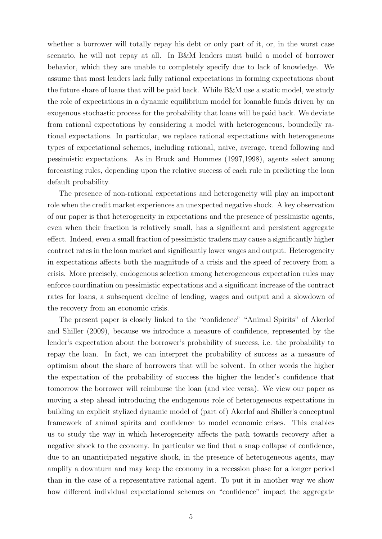whether a borrower will totally repay his debt or only part of it, or, in the worst case scenario, he will not repay at all. In B&M lenders must build a model of borrower behavior, which they are unable to completely specify due to lack of knowledge. We assume that most lenders lack fully rational expectations in forming expectations about the future share of loans that will be paid back. While B&M use a static model, we study the role of expectations in a dynamic equilibrium model for loanable funds driven by an exogenous stochastic process for the probability that loans will be paid back. We deviate from rational expectations by considering a model with heterogeneous, boundedly rational expectations. In particular, we replace rational expectations with heterogeneous types of expectational schemes, including rational, naive, average, trend following and pessimistic expectations. As in Brock and Hommes (1997,1998), agents select among forecasting rules, depending upon the relative success of each rule in predicting the loan default probability.

The presence of non-rational expectations and heterogeneity will play an important role when the credit market experiences an unexpected negative shock. A key observation of our paper is that heterogeneity in expectations and the presence of pessimistic agents, even when their fraction is relatively small, has a significant and persistent aggregate effect. Indeed, even a small fraction of pessimistic traders may cause a significantly higher contract rates in the loan market and significantly lower wages and output. Heterogeneity in expectations affects both the magnitude of a crisis and the speed of recovery from a crisis. More precisely, endogenous selection among heterogeneous expectation rules may enforce coordination on pessimistic expectations and a significant increase of the contract rates for loans, a subsequent decline of lending, wages and output and a slowdown of the recovery from an economic crisis.

The present paper is closely linked to the "confidence" "Animal Spirits" of Akerlof and Shiller (2009), because we introduce a measure of confidence, represented by the lender's expectation about the borrower's probability of success, i.e. the probability to repay the loan. In fact, we can interpret the probability of success as a measure of optimism about the share of borrowers that will be solvent. In other words the higher the expectation of the probability of success the higher the lender's confidence that tomorrow the borrower will reimburse the loan (and vice versa). We view our paper as moving a step ahead introducing the endogenous role of heterogeneous expectations in building an explicit stylized dynamic model of (part of) Akerlof and Shiller's conceptual framework of animal spirits and confidence to model economic crises. This enables us to study the way in which heterogeneity affects the path towards recovery after a negative shock to the economy. In particular we find that a snap collapse of confidence, due to an unanticipated negative shock, in the presence of heterogeneous agents, may amplify a downturn and may keep the economy in a recession phase for a longer period than in the case of a representative rational agent. To put it in another way we show how different individual expectational schemes on "confidence" impact the aggregate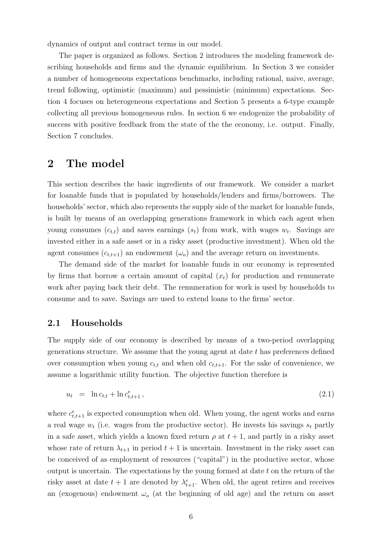dynamics of output and contract terms in our model.

The paper is organized as follows. Section 2 introduces the modeling framework describing households and firms and the dynamic equilibrium. In Section 3 we consider a number of homogeneous expectations benchmarks, including rational, naive, average, trend following, optimistic (maximum) and pessimistic (minimum) expectations. Section 4 focuses on heterogeneous expectations and Section 5 presents a 6-type example collecting all previous homogeneous rules. In section 6 we endogenize the probability of success with positive feedback from the state of the the economy, i.e. output. Finally, Section 7 concludes.

### 2 The model

This section describes the basic ingredients of our framework. We consider a market for loanable funds that is populated by households/lenders and firms/borrowers. The households' sector, which also represents the supply side of the market for loanable funds, is built by means of an overlapping generations framework in which each agent when young consumes  $(c_{t,t})$  and saves earnings  $(s_t)$  from work, with wages  $w_t$ . Savings are invested either in a safe asset or in a risky asset (productive investment). When old the agent consumes  $(c_{t,t+1})$  an endowment  $(\omega_o)$  and the average return on investments.

The demand side of the market for loanable funds in our economy is represented by firms that borrow a certain amount of capital  $(x_t)$  for production and remunerate work after paying back their debt. The remuneration for work is used by households to consume and to save. Savings are used to extend loans to the firms' sector.

#### 2.1 Households

The supply side of our economy is described by means of a two-period overlapping generations structure. We assume that the young agent at date  $t$  has preferences defined over consumption when young  $c_{t,t}$  and when old  $c_{t,t+1}$ . For the sake of convenience, we assume a logarithmic utility function. The objective function therefore is

$$
u_t = \ln c_{t,t} + \ln c_{t,t+1}^e,\tag{2.1}
$$

where  $c_{t,t+1}^e$  is expected consumption when old. When young, the agent works and earns a real wage  $w_t$  (i.e. wages from the productive sector). He invests his savings  $s_t$  partly in a safe asset, which yields a known fixed return  $\rho$  at  $t + 1$ , and partly in a risky asset whose rate of return  $\lambda_{t+1}$  in period  $t+1$  is uncertain. Investment in the risky asset can be conceived of as employment of resources ("capital") in the productive sector, whose output is uncertain. The expectations by the young formed at date t on the return of the risky asset at date  $t + 1$  are denoted by  $\lambda_{t+1}^e$ . When old, the agent retires and receives an (exogenous) endowment  $\omega_o$  (at the beginning of old age) and the return on asset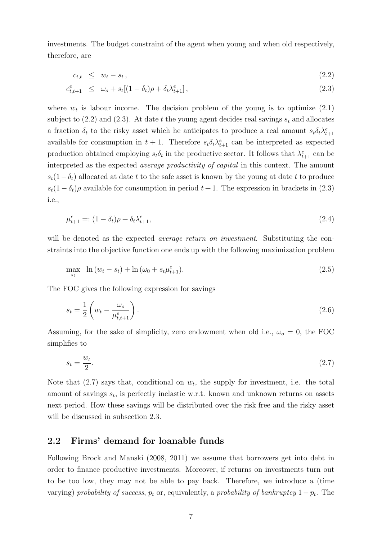investments. The budget constraint of the agent when young and when old respectively, therefore, are

$$
c_{t,t} \leq w_t - s_t, \tag{2.2}
$$

$$
c_{t,t+1}^e \le \omega_o + s_t[(1 - \delta_t)\rho + \delta_t \lambda_{t+1}^e], \tag{2.3}
$$

where  $w_t$  is labour income. The decision problem of the young is to optimize  $(2.1)$ subject to  $(2.2)$  and  $(2.3)$ . At date t the young agent decides real savings  $s_t$  and allocates a fraction  $\delta_t$  to the risky asset which he anticipates to produce a real amount  $s_t \delta_t \lambda_{t+1}^e$ available for consumption in  $t + 1$ . Therefore  $s_t \delta_t \lambda_{t+1}^e$  can be interpreted as expected production obtained employing  $s_t \delta_t$  in the productive sector. It follows that  $\lambda_{t+1}^e$  can be interpreted as the expected average productivity of capital in this context. The amount  $s_t(1-\delta_t)$  allocated at date t to the safe asset is known by the young at date t to produce  $s_t(1-\delta_t)\rho$  available for consumption in period  $t+1$ . The expression in brackets in (2.3) i.e.,

$$
\mu_{t+1}^e = (1 - \delta_t)\rho + \delta_t \lambda_{t+1}^e,\tag{2.4}
$$

will be denoted as the expected *average return on investment*. Substituting the constraints into the objective function one ends up with the following maximization problem

$$
\max_{s_t} \ \ln(w_t - s_t) + \ln(\omega_0 + s_t \mu_{t+1}^e). \tag{2.5}
$$

The FOC gives the following expression for savings

$$
s_t = \frac{1}{2} \left( w_t - \frac{\omega_o}{\mu_{t,t+1}^e} \right). \tag{2.6}
$$

Assuming, for the sake of simplicity, zero endowment when old i.e.,  $\omega_0 = 0$ , the FOC simplifies to

$$
s_t = \frac{w_t}{2}.\tag{2.7}
$$

Note that  $(2.7)$  says that, conditional on  $w_t$ , the supply for investment, i.e. the total amount of savings  $s_t$ , is perfectly inelastic w.r.t. known and unknown returns on assets next period. How these savings will be distributed over the risk free and the risky asset will be discussed in subsection 2.3.

#### 2.2 Firms' demand for loanable funds

Following Brock and Manski (2008, 2011) we assume that borrowers get into debt in order to finance productive investments. Moreover, if returns on investments turn out to be too low, they may not be able to pay back. Therefore, we introduce a (time varying) probability of success,  $p_t$  or, equivalently, a probability of bankruptcy  $1-p_t$ . The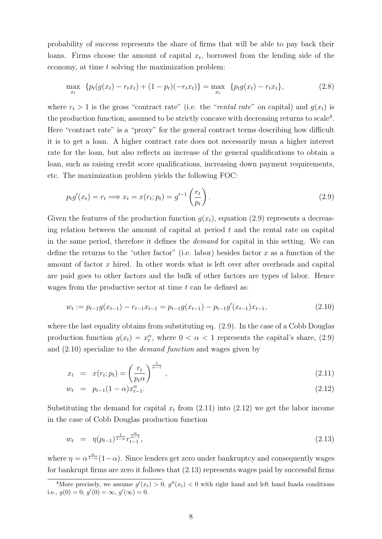probability of success represents the share of firms that will be able to pay back their loans. Firms choose the amount of capital  $x_t$ , borrowed from the lending side of the economy, at time t solving the maximization problem:

$$
\max_{x_t} \ \{p_t(g(x_t) - r_t x_t) + (1 - p_t)(-r_t x_t)\} = \max_{x_t} \ \{p_t g(x_t) - r_t x_t\},\tag{2.8}
$$

where  $r_t > 1$  is the gross "contract rate" (i.e. the "rental rate" on capital) and  $g(x_t)$  is the production function, assumed to be strictly concave with decreasing returns to scale<sup>4</sup>. Here "contract rate" is a "proxy" for the general contract terms describing how difficult it is to get a loan. A higher contract rate does not necessarily mean a higher interest rate for the loan, but also reflects an increase of the general qualifications to obtain a loan, such as raising credit score qualifications, increasing down payment requirements, etc. The maximization problem yields the following FOC:

$$
p_t g'(x_t) = r_t \Longrightarrow x_t = x(r_t; p_t) = g'^{-1}\left(\frac{r_t}{p_t}\right). \tag{2.9}
$$

Given the features of the production function  $g(x_t)$ , equation (2.9) represents a decreasing relation between the amount of capital at period  $t$  and the rental rate on capital in the same period, therefore it defines the demand for capital in this setting. We can define the returns to the "other factor" (i.e. labor) besides factor x as a function of the amount of factor  $x$  hired. In other words what is left over after overheads and capital are paid goes to other factors and the bulk of other factors are types of labor. Hence wages from the productive sector at time  $t$  can be defined as:

$$
w_t := p_{t-1}g(x_{t-1}) - r_{t-1}x_{t-1} = p_{t-1}g(x_{t-1}) - p_{t-1}g'(x_{t-1})x_{t-1},
$$
\n(2.10)

where the last equality obtains from substituting eq. (2.9). In the case of a Cobb Douglas production function  $g(x_t) = x_t^{\alpha}$ , where  $0 < \alpha < 1$  represents the capital's share, (2.9) and (2.10) specialize to the demand function and wages given by

$$
x_t = x(r_t; p_t) = \left(\frac{r_t}{p_t \alpha}\right)^{\frac{1}{\alpha - 1}}, \qquad (2.11)
$$

$$
w_t = p_{t-1}(1-\alpha)x_{t-1}^{\alpha}.
$$
\n(2.12)

Substituting the demand for capital  $x_t$  from (2.11) into (2.12) we get the labor income in the case of Cobb Douglas production function

$$
w_t = \eta(p_{t-1})^{\frac{1}{1-\alpha}} r_{t-1}^{\frac{\alpha}{\alpha-1}}, \tag{2.13}
$$

where  $\eta = \alpha^{\frac{\alpha}{1-\alpha}}(1-\alpha)$ . Since lenders get zero under bankruptcy and consequently wages for bankrupt firms are zero it follows that (2.13) represents wages paid by successful firms

<sup>&</sup>lt;sup>4</sup>More precisely, we assume  $g'(x_t) > 0$ ,  $g''(x_t) < 0$  with right hand and left hand Inada conditions i.e.,  $g(0) = 0, g'(0) = \infty, g'(\infty) = 0.$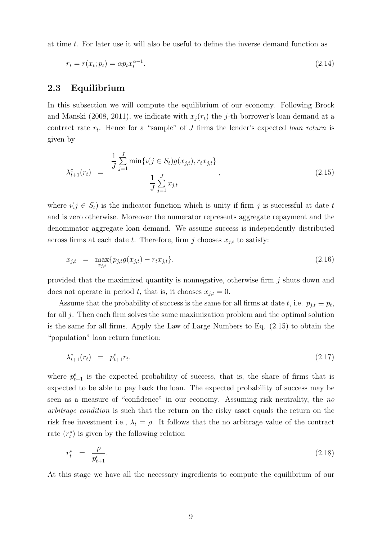at time t. For later use it will also be useful to define the inverse demand function as

$$
r_t = r(x_t; p_t) = \alpha p_t x_t^{\alpha - 1}.
$$
\n
$$
(2.14)
$$

#### 2.3 Equilibrium

In this subsection we will compute the equilibrium of our economy. Following Brock and Manski (2008, 2011), we indicate with  $x_i(r_t)$  the j-th borrower's loan demand at a contract rate  $r_t$ . Hence for a "sample" of J firms the lender's expected loan return is given by

$$
\lambda_{t+1}^{e}(r_t) = \frac{\frac{1}{J} \sum_{j=1}^{J} \min\{i(j \in S_t) g(x_{j,t}), r_t x_{j,t}\}}{\frac{1}{J} \sum_{j=1}^{J} x_{j,t}},
$$
\n(2.15)

where  $i(j \in S_t)$  is the indicator function which is unity if firm j is successful at date t and is zero otherwise. Moreover the numerator represents aggregate repayment and the denominator aggregate loan demand. We assume success is independently distributed across firms at each date t. Therefore, firm j chooses  $x_{j,t}$  to satisfy:

$$
x_{j,t} = \max_{x_{j,t}} \{ p_{j,t} g(x_{j,t}) - r_t x_{j,t} \}.
$$
\n(2.16)

provided that the maximized quantity is nonnegative, otherwise firm j shuts down and does not operate in period t, that is, it chooses  $x_{j,t} = 0$ .

Assume that the probability of success is the same for all firms at date t, i.e.  $p_{j,t} \equiv p_t$ , for all j. Then each firm solves the same maximization problem and the optimal solution is the same for all firms. Apply the Law of Large Numbers to Eq. (2.15) to obtain the "population" loan return function:

$$
\lambda_{t+1}^e(r_t) = p_{t+1}^e r_t. \tag{2.17}
$$

where  $p_{t+1}^e$  is the expected probability of success, that is, the share of firms that is expected to be able to pay back the loan. The expected probability of success may be seen as a measure of "confidence" in our economy. Assuming risk neutrality, the no arbitrage condition is such that the return on the risky asset equals the return on the risk free investment i.e.,  $\lambda_t = \rho$ . It follows that the no arbitrage value of the contract rate  $(r_t^*)$  is given by the following relation

$$
r_t^* = \frac{\rho}{p_{t+1}^e}.\tag{2.18}
$$

At this stage we have all the necessary ingredients to compute the equilibrium of our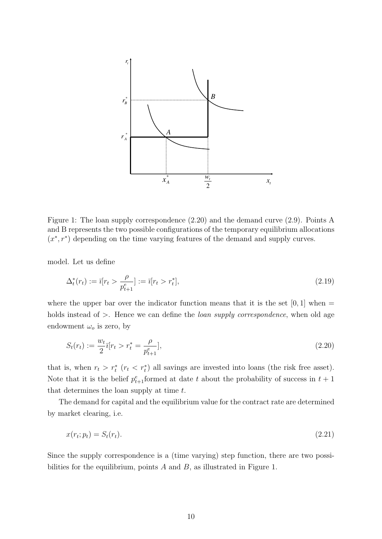

Figure 1: The loan supply correspondence (2.20) and the demand curve (2.9). Points A and B represents the two possible configurations of the temporary equilibrium allocations  $(x^*, r^*)$  depending on the time varying features of the demand and supply curves.

model. Let us define

$$
\Delta_t^*(r_t) := \overline{i}[r_t > \frac{\rho}{p_{t+1}^e}] := \overline{i}[r_t > r_t^*],\tag{2.19}
$$

where the upper bar over the indicator function means that it is the set  $[0, 1]$  when  $=$ holds instead of  $\geq$ . Hence we can define the *loan supply correspondence*, when old age endowment  $\omega_o$  is zero, by

$$
S_t(r_t) := \frac{w_t}{2}\bar{\imath}[r_t > r_t^* = \frac{\rho}{p_{t+1}^e}],\tag{2.20}
$$

that is, when  $r_t > r_t^*$  ( $r_t < r_t^*$ ) all savings are invested into loans (the risk free asset). Note that it is the belief  $p_{t+1}^e$  formed at date t about the probability of success in  $t + 1$ that determines the loan supply at time t.

The demand for capital and the equilibrium value for the contract rate are determined by market clearing, i.e.

$$
x(r_t; p_t) = S_t(r_t). \tag{2.21}
$$

Since the supply correspondence is a (time varying) step function, there are two possibilities for the equilibrium, points  $A$  and  $B$ , as illustrated in Figure 1.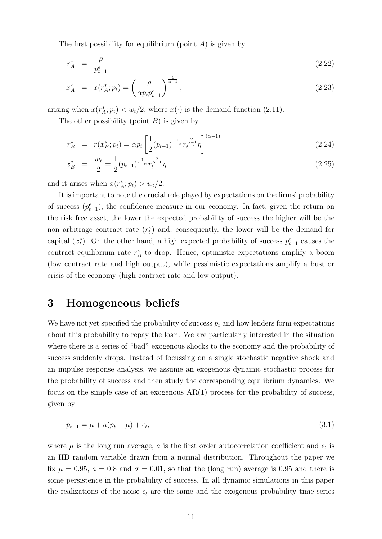The first possibility for equilibrium (point  $A$ ) is given by

$$
r_A^* = \frac{\rho}{p_{t+1}^e} \tag{2.22}
$$

$$
x_A^* = x(r_A^*; p_t) = \left(\frac{\rho}{\alpha p_t p_{t+1}^e}\right)^{\frac{1}{\alpha - 1}},\tag{2.23}
$$

arising when  $x(r_A^*; p_t) < w_t/2$ , where  $x(\cdot)$  is the demand function (2.11).

The other possibility (point  $B$ ) is given by

$$
r_B^* = r(x_B^*; p_t) = \alpha p_t \left[ \frac{1}{2} (p_{t-1})^{\frac{1}{1-\alpha}} r_{t-1}^{\frac{\alpha}{\alpha-1}} \eta \right]^{(\alpha-1)}
$$
(2.24)

$$
x_B^* = \frac{w_t}{2} = \frac{1}{2}(p_{t-1})^{\frac{1}{1-\alpha}} r_{t-1}^{\frac{\alpha}{\alpha-1}} \eta \tag{2.25}
$$

and it arises when  $x(r_A^*; p_t) > w_t/2$ .

It is important to note the crucial role played by expectations on the firms' probability of success  $(p_{t+1}^e)$ , the confidence measure in our economy. In fact, given the return on the risk free asset, the lower the expected probability of success the higher will be the non arbitrage contract rate  $(r_t^*)$  and, consequently, the lower will be the demand for capital  $(x_t^*)$ . On the other hand, a high expected probability of success  $p_{t+1}^e$  causes the contract equilibrium rate  $r_A^*$  to drop. Hence, optimistic expectations amplify a boom (low contract rate and high output), while pessimistic expectations amplify a bust or crisis of the economy (high contract rate and low output).

## 3 Homogeneous beliefs

We have not yet specified the probability of success  $p_t$  and how lenders form expectations about this probability to repay the loan. We are particularly interested in the situation where there is a series of "bad" exogenous shocks to the economy and the probability of success suddenly drops. Instead of focussing on a single stochastic negative shock and an impulse response analysis, we assume an exogenous dynamic stochastic process for the probability of success and then study the corresponding equilibrium dynamics. We focus on the simple case of an exogenous  $AR(1)$  process for the probability of success, given by

$$
p_{t+1} = \mu + a(p_t - \mu) + \epsilon_t, \tag{3.1}
$$

where  $\mu$  is the long run average, a is the first order autocorrelation coefficient and  $\epsilon_t$  is an IID random variable drawn from a normal distribution. Throughout the paper we fix  $\mu = 0.95$ ,  $a = 0.8$  and  $\sigma = 0.01$ , so that the (long run) average is 0.95 and there is some persistence in the probability of success. In all dynamic simulations in this paper the realizations of the noise  $\epsilon_t$  are the same and the exogenous probability time series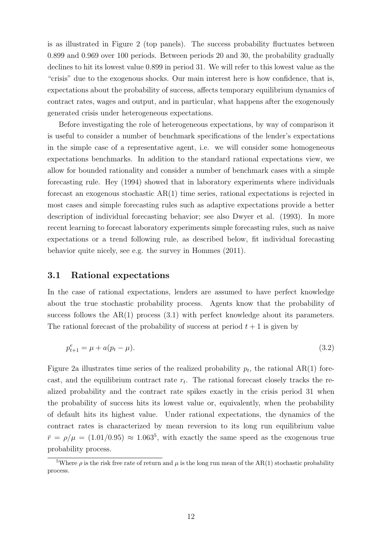is as illustrated in Figure 2 (top panels). The success probability fluctuates between 0.899 and 0.969 over 100 periods. Between periods 20 and 30, the probability gradually declines to hit its lowest value 0.899 in period 31. We will refer to this lowest value as the "crisis" due to the exogenous shocks. Our main interest here is how confidence, that is, expectations about the probability of success, affects temporary equilibrium dynamics of contract rates, wages and output, and in particular, what happens after the exogenously generated crisis under heterogeneous expectations.

Before investigating the role of heterogeneous expectations, by way of comparison it is useful to consider a number of benchmark specifications of the lender's expectations in the simple case of a representative agent, i.e. we will consider some homogeneous expectations benchmarks. In addition to the standard rational expectations view, we allow for bounded rationality and consider a number of benchmark cases with a simple forecasting rule. Hey (1994) showed that in laboratory experiments where individuals forecast an exogenous stochastic  $AR(1)$  time series, rational expectations is rejected in most cases and simple forecasting rules such as adaptive expectations provide a better description of individual forecasting behavior; see also Dwyer et al. (1993). In more recent learning to forecast laboratory experiments simple forecasting rules, such as naive expectations or a trend following rule, as described below, fit individual forecasting behavior quite nicely, see e.g. the survey in Hommes (2011).

#### 3.1 Rational expectations

In the case of rational expectations, lenders are assumed to have perfect knowledge about the true stochastic probability process. Agents know that the probability of success follows the  $AR(1)$  process  $(3.1)$  with perfect knowledge about its parameters. The rational forecast of the probability of success at period  $t + 1$  is given by

$$
p_{t+1}^e = \mu + a(p_t - \mu). \tag{3.2}
$$

Figure 2a illustrates time series of the realized probability  $p_t$ , the rational AR(1) forecast, and the equilibrium contract rate  $r_t$ . The rational forecast closely tracks the realized probability and the contract rate spikes exactly in the crisis period 31 when the probability of success hits its lowest value or, equivalently, when the probability of default hits its highest value. Under rational expectations, the dynamics of the contract rates is characterized by mean reversion to its long run equilibrium value  $\bar{r} = \rho/\mu = (1.01/0.95) \approx 1.063^5$ , with exactly the same speed as the exogenous true probability process.

<sup>&</sup>lt;sup>5</sup>Where  $\rho$  is the risk free rate of return and  $\mu$  is the long run mean of the AR(1) stochastic probability process.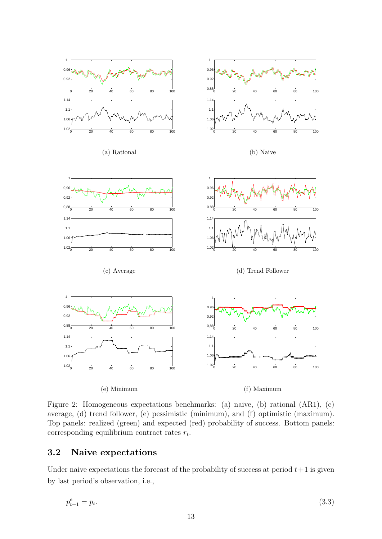

Figure 2: Homogeneous expectations benchmarks: (a) naive, (b) rational (AR1), (c) average, (d) trend follower, (e) pessimistic (minimum), and (f) optimistic (maximum). Top panels: realized (green) and expected (red) probability of success. Bottom panels: corresponding equilibrium contract rates  $r_t$ .

### 3.2 Naive expectations

Under naive expectations the forecast of the probability of success at period  $t+1$  is given by last period's observation, i.e.,

$$
p_{t+1}^e = p_t. \t\t(3.3)
$$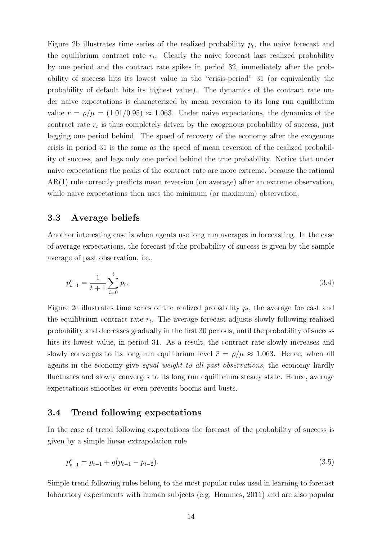Figure 2b illustrates time series of the realized probability  $p_t$ , the naive forecast and the equilibrium contract rate  $r_t$ . Clearly the naive forecast lags realized probability by one period and the contract rate spikes in period 32, immediately after the probability of success hits its lowest value in the "crisis-period" 31 (or equivalently the probability of default hits its highest value). The dynamics of the contract rate under naive expectations is characterized by mean reversion to its long run equilibrium value  $\bar{r} = \rho/\mu = (1.01/0.95) \approx 1.063$ . Under naive expectations, the dynamics of the contract rate  $r_t$  is thus completely driven by the exogenous probability of success, just lagging one period behind. The speed of recovery of the economy after the exogenous crisis in period 31 is the same as the speed of mean reversion of the realized probability of success, and lags only one period behind the true probability. Notice that under naive expectations the peaks of the contract rate are more extreme, because the rational AR(1) rule correctly predicts mean reversion (on average) after an extreme observation, while naive expectations then uses the minimum (or maximum) observation.

#### 3.3 Average beliefs

Another interesting case is when agents use long run averages in forecasting. In the case of average expectations, the forecast of the probability of success is given by the sample average of past observation, i.e.,

$$
p_{t+1}^e = \frac{1}{t+1} \sum_{i=0}^t p_i.
$$
\n(3.4)

Figure 2c illustrates time series of the realized probability  $p_t$ , the average forecast and the equilibrium contract rate  $r_t$ . The average forecast adjusts slowly following realized probability and decreases gradually in the first 30 periods, until the probability of success hits its lowest value, in period 31. As a result, the contract rate slowly increases and slowly converges to its long run equilibrium level  $\bar{r} = \rho/\mu \approx 1.063$ . Hence, when all agents in the economy give equal weight to all past observations, the economy hardly fluctuates and slowly converges to its long run equilibrium steady state. Hence, average expectations smoothes or even prevents booms and busts.

#### 3.4 Trend following expectations

In the case of trend following expectations the forecast of the probability of success is given by a simple linear extrapolation rule

$$
p_{t+1}^e = p_{t-1} + g(p_{t-1} - p_{t-2}).
$$
\n(3.5)

Simple trend following rules belong to the most popular rules used in learning to forecast laboratory experiments with human subjects (e.g. Hommes, 2011) and are also popular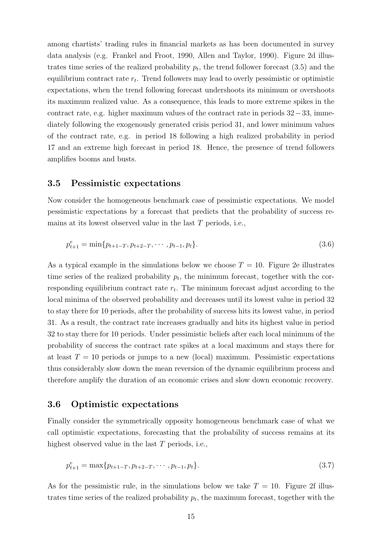among chartists' trading rules in financial markets as has been documented in survey data analysis (e.g. Frankel and Froot, 1990, Allen and Taylor, 1990). Figure 2d illustrates time series of the realized probability  $p_t$ , the trend follower forecast  $(3.5)$  and the equilibrium contract rate  $r_t$ . Trend followers may lead to overly pessimistic or optimistic expectations, when the trend following forecast undershoots its minimum or overshoots its maximum realized value. As a consequence, this leads to more extreme spikes in the contract rate, e.g. higher maximum values of the contract rate in periods 32−33, immediately following the exogenously generated crisis period 31, and lower minimum values of the contract rate, e.g. in period 18 following a high realized probability in period 17 and an extreme high forecast in period 18. Hence, the presence of trend followers amplifies booms and busts.

#### 3.5 Pessimistic expectations

Now consider the homogeneous benchmark case of pessimistic expectations. We model pessimistic expectations by a forecast that predicts that the probability of success remains at its lowest observed value in the last T periods, i.e.,

$$
p_{t+1}^e = \min\{p_{t+1-T}, p_{t+2-T}, \cdots, p_{t-1}, p_t\}.
$$
\n(3.6)

As a typical example in the simulations below we choose  $T = 10$ . Figure 2e illustrates time series of the realized probability  $p_t$ , the minimum forecast, together with the corresponding equilibrium contract rate  $r_t$ . The minimum forecast adjust according to the local minima of the observed probability and decreases until its lowest value in period 32 to stay there for 10 periods, after the probability of success hits its lowest value, in period 31. As a result, the contract rate increases gradually and hits its highest value in period 32 to stay there for 10 periods. Under pessimistic beliefs after each local minimum of the probability of success the contract rate spikes at a local maximum and stays there for at least  $T = 10$  periods or jumps to a new (local) maximum. Pessimistic expectations thus considerably slow down the mean reversion of the dynamic equilibrium process and therefore amplify the duration of an economic crises and slow down economic recovery.

#### 3.6 Optimistic expectations

Finally consider the symmetrically opposity homogeneous benchmark case of what we call optimistic expectations, forecasting that the probability of success remains at its highest observed value in the last T periods, i.e.,

$$
p_{t+1}^e = \max\{p_{t+1-T}, p_{t+2-T}, \cdots, p_{t-1}, p_t\}.
$$
\n(3.7)

As for the pessimistic rule, in the simulations below we take  $T = 10$ . Figure 2f illustrates time series of the realized probability  $p_t$ , the maximum forecast, together with the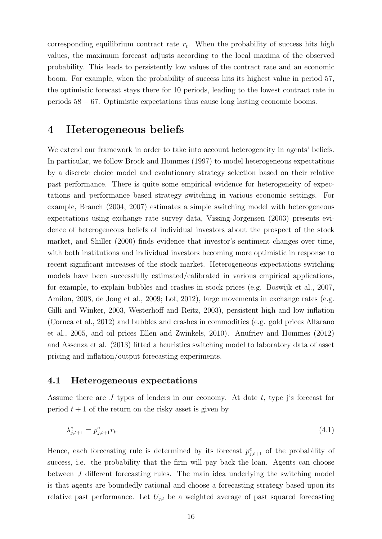corresponding equilibrium contract rate  $r_t$ . When the probability of success hits high values, the maximum forecast adjusts according to the local maxima of the observed probability. This leads to persistently low values of the contract rate and an economic boom. For example, when the probability of success hits its highest value in period 57, the optimistic forecast stays there for 10 periods, leading to the lowest contract rate in periods 58 − 67. Optimistic expectations thus cause long lasting economic booms.

## 4 Heterogeneous beliefs

We extend our framework in order to take into account heterogeneity in agents' beliefs. In particular, we follow Brock and Hommes (1997) to model heterogeneous expectations by a discrete choice model and evolutionary strategy selection based on their relative past performance. There is quite some empirical evidence for heterogeneity of expectations and performance based strategy switching in various economic settings. For example, Branch (2004, 2007) estimates a simple switching model with heterogeneous expectations using exchange rate survey data, Vissing-Jorgensen (2003) presents evidence of heterogeneous beliefs of individual investors about the prospect of the stock market, and Shiller (2000) finds evidence that investor's sentiment changes over time, with both institutions and individual investors becoming more optimistic in response to recent significant increases of the stock market. Heterogeneous expectations switching models have been successfully estimated/calibrated in various empirical applications, for example, to explain bubbles and crashes in stock prices (e.g. Boswijk et al., 2007, Amilon, 2008, de Jong et al., 2009; Lof, 2012), large movements in exchange rates (e.g. Gilli and Winker, 2003, Westerhoff and Reitz, 2003), persistent high and low inflation (Cornea et al., 2012) and bubbles and crashes in commodities (e.g. gold prices Alfarano et al., 2005, and oil prices Ellen and Zwinkels, 2010). Anufriev and Hommes (2012) and Assenza et al. (2013) fitted a heuristics switching model to laboratory data of asset pricing and inflation/output forecasting experiments.

#### 4.1 Heterogeneous expectations

Assume there are  $J$  types of lenders in our economy. At date  $t$ , type j's forecast for period  $t + 1$  of the return on the risky asset is given by

$$
\lambda_{j,t+1}^e = p_{j,t+1}^e r_t. \tag{4.1}
$$

Hence, each forecasting rule is determined by its forecast  $p_{j,t+1}^e$  of the probability of success, i.e. the probability that the firm will pay back the loan. Agents can choose between J different forecasting rules. The main idea underlying the switching model is that agents are boundedly rational and choose a forecasting strategy based upon its relative past performance. Let  $U_{j,t}$  be a weighted average of past squared forecasting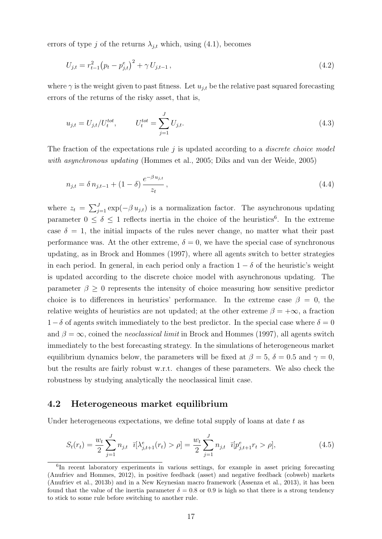errors of type j of the returns  $\lambda_{j,t}$  which, using (4.1), becomes

$$
U_{j,t} = r_{t-1}^2 (p_t - p_{j,t}^e)^2 + \gamma U_{j,t-1},
$$
\n(4.2)

where  $\gamma$  is the weight given to past fitness. Let  $u_{j,t}$  be the relative past squared forecasting errors of the returns of the risky asset, that is,

$$
u_{j,t} = U_{j,t}/U_t^{tot}, \qquad U_t^{tot} = \sum_{j=1}^{J} U_{j,t}.
$$
\n(4.3)

The fraction of the expectations rule  $j$  is updated according to a *discrete choice model* with asynchronous updating (Hommes et al., 2005; Diks and van der Weide, 2005)

$$
n_{j,t} = \delta n_{j,t-1} + (1 - \delta) \frac{e^{-\beta u_{j,t}}}{z_t},
$$
\n(4.4)

where  $z_t = \sum_{j=1}^{J} \exp(-\beta u_{j,t})$  is a normalization factor. The asynchronous updating parameter  $0 \le \delta \le 1$  reflects inertia in the choice of the heuristics<sup>6</sup>. In the extreme case  $\delta = 1$ , the initial impacts of the rules never change, no matter what their past performance was. At the other extreme,  $\delta = 0$ , we have the special case of synchronous updating, as in Brock and Hommes (1997), where all agents switch to better strategies in each period. In general, in each period only a fraction  $1 - \delta$  of the heuristic's weight is updated according to the discrete choice model with asynchronous updating. The parameter  $\beta \geq 0$  represents the intensity of choice measuring how sensitive predictor choice is to differences in heuristics' performance. In the extreme case  $\beta = 0$ , the relative weights of heuristics are not updated; at the other extreme  $\beta = +\infty$ , a fraction  $1-\delta$  of agents switch immediately to the best predictor. In the special case where  $\delta = 0$ and  $\beta = \infty$ , coined the *neoclassical limit* in Brock and Hommes (1997), all agents switch immediately to the best forecasting strategy. In the simulations of heterogeneous market equilibrium dynamics below, the parameters will be fixed at  $\beta = 5$ ,  $\delta = 0.5$  and  $\gamma = 0$ , but the results are fairly robust w.r.t. changes of these parameters. We also check the robustness by studying analytically the neoclassical limit case.

#### 4.2 Heterogeneous market equilibrium

Under heterogeneous expectations, we define total supply of loans at date  $t$  as

$$
S_t(r_t) = \frac{w_t}{2} \sum_{j=1}^{J} n_{j,t} \quad \bar{\imath}[\lambda_{j,t+1}^e(r_t) > \rho] = \frac{w_t}{2} \sum_{j=1}^{J} n_{j,t} \quad \bar{\imath}[p_{j,t+1}^e(r_t) > \rho],\tag{4.5}
$$

<sup>&</sup>lt;sup>6</sup>In recent laboratory experiments in various settings, for example in asset pricing forecasting (Anufriev and Hommes, 2012), in positive feedback (asset) and negative feedback (cobweb) markets (Anufriev et al., 2013b) and in a New Keynesian macro framework (Assenza et al., 2013), it has been found that the value of the inertia parameter  $\delta = 0.8$  or 0.9 is high so that there is a strong tendency to stick to some rule before switching to another rule.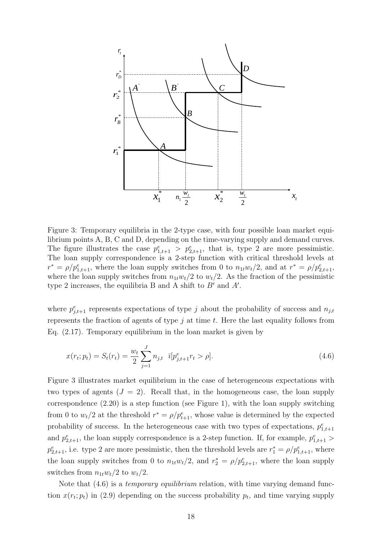

Figure 3: Temporary equilibria in the 2-type case, with four possible loan market equilibrium points A, B, C and D, depending on the time-varying supply and demand curves. The figure illustrates the case  $p_{1,t+1}^e > p_{2,t+1}^e$ , that is, type 2 are more pessimistic. The loan supply correspondence is a 2-step function with critical threshold levels at  $r^* = \rho/p_{1,t+1}^e$ , where the loan supply switches from 0 to  $n_{1t}w_t/2$ , and at  $r^* = \rho/p_{2,t+1}^e$ , where the loan supply switches from  $n_{1t}w_t/2$  to  $w_t/2$ . As the fraction of the pessimistic type 2 increases, the equilibria B and A shift to  $B'$  and  $A'$ .

where  $p_{j,t+1}^e$  represents expectations of type j about the probability of success and  $n_{j,t}$ represents the fraction of agents of type  $j$  at time  $t$ . Here the last equality follows from Eq. (2.17). Temporary equilibrium in the loan market is given by

$$
x(r_t; p_t) = S_t(r_t) = \frac{w_t}{2} \sum_{j=1}^{J} n_{j,t} \quad \bar{\imath}[p_{j,t+1}^e r_t > \rho]. \tag{4.6}
$$

Figure 3 illustrates market equilibrium in the case of heterogeneous expectations with two types of agents  $(J = 2)$ . Recall that, in the homogeneous case, the loan supply correspondence  $(2.20)$  is a step function (see Figure 1), with the loan supply switching from 0 to  $w_t/2$  at the threshold  $r^* = \rho/p_{t+1}^e$ , whose value is determined by the expected probability of success. In the heterogeneous case with two types of expectations,  $p_{1,t+1}^e$ and  $p_{2,t+1}^e$ , the loan supply correspondence is a 2-step function. If, for example,  $p_{1,t+1}^e$  >  $p_{2,t+1}^e$ , i.e. type 2 are more pessimistic, then the threshold levels are  $r_1^* = \rho / p_{1,t+1}^e$ , where the loan supply switches from 0 to  $n_{1t}w_t/2$ , and  $r_2^* = \rho/p_{2,t+1}^e$ , where the loan supply switches from  $n_{1t}w_t/2$  to  $w_t/2$ .

Note that  $(4.6)$  is a *temporary equilibrium* relation, with time varying demand function  $x(r_t; p_t)$  in (2.9) depending on the success probability  $p_t$ , and time varying supply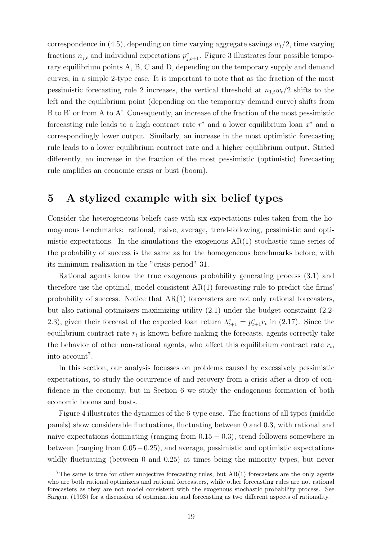correspondence in (4.5), depending on time varying aggregate savings  $w_t/2$ , time varying fractions  $n_{j,t}$  and individual expectations  $p_{j,t+1}^e$ . Figure 3 illustrates four possible temporary equilibrium points A, B, C and D, depending on the temporary supply and demand curves, in a simple 2-type case. It is important to note that as the fraction of the most pessimistic forecasting rule 2 increases, the vertical threshold at  $n_{1,t}w_t/2$  shifts to the left and the equilibrium point (depending on the temporary demand curve) shifts from B to B' or from A to A'. Consequently, an increase of the fraction of the most pessimistic forecasting rule leads to a high contract rate  $r^*$  and a lower equilibrium loan  $x^*$  and a correspondingly lower output. Similarly, an increase in the most optimistic forecasting rule leads to a lower equilibrium contract rate and a higher equilibrium output. Stated differently, an increase in the fraction of the most pessimistic (optimistic) forecasting rule amplifies an economic crisis or bust (boom).

## 5 A stylized example with six belief types

Consider the heterogeneous beliefs case with six expectations rules taken from the homogenous benchmarks: rational, naive, average, trend-following, pessimistic and optimistic expectations. In the simulations the exogenous  $AR(1)$  stochastic time series of the probability of success is the same as for the homogeneous benchmarks before, with its minimum realization in the "crisis-period" 31.

Rational agents know the true exogenous probability generating process (3.1) and therefore use the optimal, model consistent  $AR(1)$  forecasting rule to predict the firms' probability of success. Notice that AR(1) forecasters are not only rational forecasters, but also rational optimizers maximizing utility (2.1) under the budget constraint (2.2- 2.3), given their forecast of the expected loan return  $\lambda_{t+1}^e = p_{t+1}^e r_t$  in (2.17). Since the equilibrium contract rate  $r_t$  is known before making the forecasts, agents correctly take the behavior of other non-rational agents, who affect this equilibrium contract rate  $r_t$ , into account<sup>7</sup>.

In this section, our analysis focusses on problems caused by excessively pessimistic expectations, to study the occurrence of and recovery from a crisis after a drop of confidence in the economy, but in Section 6 we study the endogenous formation of both economic booms and busts.

Figure 4 illustrates the dynamics of the 6-type case. The fractions of all types (middle panels) show considerable fluctuations, fluctuating between 0 and 0.3, with rational and naive expectations dominating (ranging from  $0.15 - 0.3$ ), trend followers somewhere in between (ranging from 0.05−0.25), and average, pessimistic and optimistic expectations wildly fluctuating (between 0 and 0.25) at times being the minority types, but never

<sup>&</sup>lt;sup>7</sup>The same is true for other subjective forecasting rules, but  $AR(1)$  forecasters are the only agents who are both rational optimizers and rational forecasters, while other forecasting rules are not rational forecasters as they are not model consistent with the exogenous stochastic probability process. See Sargent (1993) for a discussion of optimization and forecasting as two different aspects of rationality.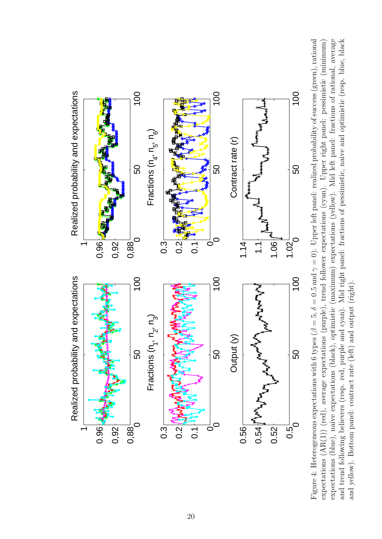

expectations (blue), naive expectations (black), optimistic (maximum) expectations (yellow). Mid left panel: fractions of rational, average and trend following believers (resp. red, purple and cyan). Mid right panel: fractions of pessimistic, naive and optimistic (resp. blue, black Figure 4: Heterogeneous expectations with 6 types ( $\beta = 5$ ,  $\delta = 0.5$  and  $\gamma = 0$ ). Upper left panel: realized probability of success (green), rational Figure 4: Heterogeneous expectations with 6 types ( $\beta = 5$ ,  $\delta = 0.5$  and  $\gamma = 0$ ). Upper left panel: realized probability of success (green), rational expectations (AR(1)) (red), average expectations (purple), trend follower expectations (cyan). Upper right panel: pessimistic (minimum) and trend following believers (resp. red, purple and cyan). Mid right panel: fractions of pessimistic, naive and optimistic (resp. blue, black expectations (AR(1)) (red), average expectations (purple), trend follower expectations (cyan). Upper right panel: pessimistic (minimum) expectations (blue), naive expectations (black), optimistic (maximum) expectations (yellow). Mid left panel: fractions of rational, average and yellow). Bottom panel: contract rate (left) and output (right). and yellow). Bottom panel: contract rate (left) and output (right).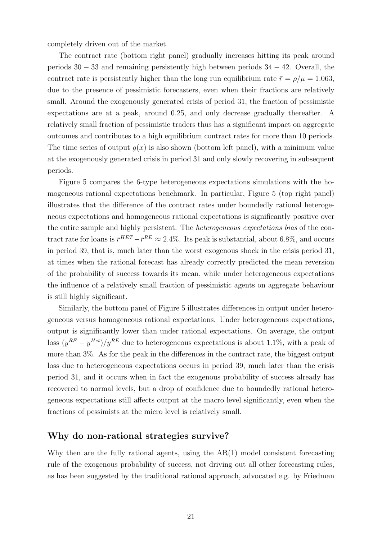completely driven out of the market.

The contract rate (bottom right panel) gradually increases hitting its peak around periods  $30 - 33$  and remaining persistently high between periods  $34 - 42$ . Overall, the contract rate is persistently higher than the long run equilibrium rate  $\bar{r} = \rho/\mu = 1.063$ , due to the presence of pessimistic forecasters, even when their fractions are relatively small. Around the exogenously generated crisis of period 31, the fraction of pessimistic expectations are at a peak, around 0.25, and only decrease gradually thereafter. A relatively small fraction of pessimistic traders thus has a significant impact on aggregate outcomes and contributes to a high equilibrium contract rates for more than 10 periods. The time series of output  $g(x)$  is also shown (bottom left panel), with a minimum value at the exogenously generated crisis in period 31 and only slowly recovering in subsequent periods.

Figure 5 compares the 6-type heterogeneous expectations simulations with the homogeneous rational expectations benchmark. In particular, Figure 5 (top right panel) illustrates that the difference of the contract rates under boundedly rational heterogeneous expectations and homogeneous rational expectations is significantly positive over the entire sample and highly persistent. The heterogeneous expectations bias of the contract rate for loans is  $\bar{r}^{HET}-\bar{r}^{RE}\approx 2.4\%$ . Its peak is substantial, about 6.8%, and occurs in period 39, that is, much later than the worst exogenous shock in the crisis period 31, at times when the rational forecast has already correctly predicted the mean reversion of the probability of success towards its mean, while under heterogeneous expectations the influence of a relatively small fraction of pessimistic agents on aggregate behaviour is still highly significant.

Similarly, the bottom panel of Figure 5 illustrates differences in output under heterogeneous versus homogeneous rational expectations. Under heterogeneous expectations, output is significantly lower than under rational expectations. On average, the output loss  $(y^{RE} - y^{Het})/y^{RE}$  due to heterogeneous expectations is about 1.1%, with a peak of more than 3%. As for the peak in the differences in the contract rate, the biggest output loss due to heterogeneous expectations occurs in period 39, much later than the crisis period 31, and it occurs when in fact the exogenous probability of success already has recovered to normal levels, but a drop of confidence due to boundedly rational heterogeneous expectations still affects output at the macro level significantly, even when the fractions of pessimists at the micro level is relatively small.

#### Why do non-rational strategies survive?

Why then are the fully rational agents, using the AR(1) model consistent forecasting rule of the exogenous probability of success, not driving out all other forecasting rules, as has been suggested by the traditional rational approach, advocated e.g. by Friedman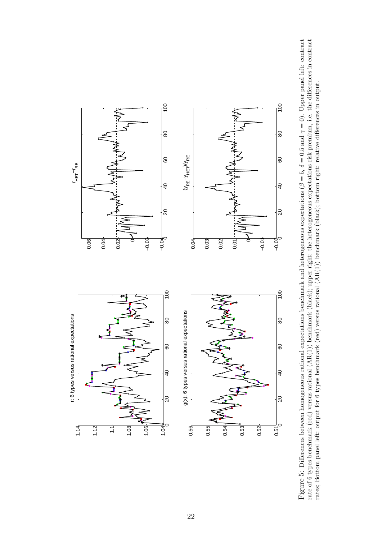

Figure 5: Differences between homogeneous rational expectations benchmark and heterogeneous expectations ( $\beta = 5$ ,  $\delta = 0.5$  and  $\gamma = 0$ ). Upper panel left: contract rate of 6 types benchmark (red) versus rational (AR(1)) benchmark (black); upper right: the heterogeneous expectations risk premium, i.e. the differences in contract rates; Bottom panel left: output for 6 types benchmark Figure 5: Differences between homogeneous rational expectations benchmark and heterogeneous expectations ( $\beta = 5$ ,  $\delta = 0.5$  and  $\gamma = 0$ ). Upper panel left: contract rate of 6 types benchmark (red) versus rational (AR(1)) benchmark (black); upper right: the heterogeneous expectations risk premium, i.e. the differences in contract rates; Bottom panel left: output for 6 types benchmark (red) versus rational (AR(1)) benchmark (black); bottom right: relative differences in output.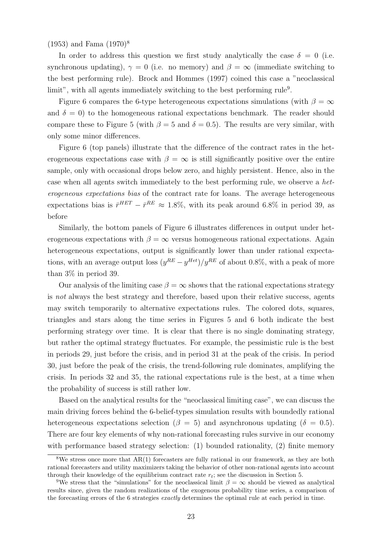$(1953)$  and Fama  $(1970)^8$ 

In order to address this question we first study analytically the case  $\delta = 0$  (i.e. synchronous updating),  $\gamma = 0$  (i.e. no memory) and  $\beta = \infty$  (immediate switching to the best performing rule). Brock and Hommes (1997) coined this case a "neoclassical limit", with all agents immediately switching to the best performing rule<sup>9</sup>.

Figure 6 compares the 6-type heterogeneous expectations simulations (with  $\beta = \infty$ and  $\delta = 0$ ) to the homogeneous rational expectations benchmark. The reader should compare these to Figure 5 (with  $\beta = 5$  and  $\delta = 0.5$ ). The results are very similar, with only some minor differences.

Figure 6 (top panels) illustrate that the difference of the contract rates in the heterogeneous expectations case with  $\beta = \infty$  is still significantly positive over the entire sample, only with occasional drops below zero, and highly persistent. Hence, also in the case when all agents switch immediately to the best performing rule, we observe a heterogeneous expectations bias of the contract rate for loans. The average heterogeneous expectations bias is  $\bar{r}^{HET} - \bar{r}^{RE} \approx 1.8\%$ , with its peak around 6.8% in period 39, as before

Similarly, the bottom panels of Figure 6 illustrates differences in output under heterogeneous expectations with  $\beta = \infty$  versus homogeneous rational expectations. Again heterogeneous expectations, output is significantly lower than under rational expectations, with an average output loss  $(y^{RE} - y^{Het})/y^{RE}$  of about 0.8%, with a peak of more than 3% in period 39.

Our analysis of the limiting case  $\beta = \infty$  shows that the rational expectations strategy is not always the best strategy and therefore, based upon their relative success, agents may switch temporarily to alternative expectations rules. The colored dots, squares, triangles and stars along the time series in Figures 5 and 6 both indicate the best performing strategy over time. It is clear that there is no single dominating strategy, but rather the optimal strategy fluctuates. For example, the pessimistic rule is the best in periods 29, just before the crisis, and in period 31 at the peak of the crisis. In period 30, just before the peak of the crisis, the trend-following rule dominates, amplifying the crisis. In periods 32 and 35, the rational expectations rule is the best, at a time when the probability of success is still rather low.

Based on the analytical results for the "neoclassical limiting case", we can discuss the main driving forces behind the 6-belief-types simulation results with boundedly rational heterogeneous expectations selection ( $\beta = 5$ ) and asynchronous updating ( $\delta = 0.5$ ). There are four key elements of why non-rational forecasting rules survive in our economy with performance based strategy selection: (1) bounded rationality, (2) finite memory

<sup>&</sup>lt;sup>8</sup>We stress once more that  $AR(1)$  forecasters are fully rational in our framework, as they are both rational forecasters and utility maximizers taking the behavior of other non-rational agents into account through their knowledge of the equilibrium contract rate  $r_t$ ; see the discussion in Section 5.

<sup>&</sup>lt;sup>9</sup>We stress that the "simulations" for the neoclassical limit  $\beta = \infty$  should be viewed as analytical results since, given the random realizations of the exogenous probability time series, a comparison of the forecasting errors of the 6 strategies exactly determines the optimal rule at each period in time.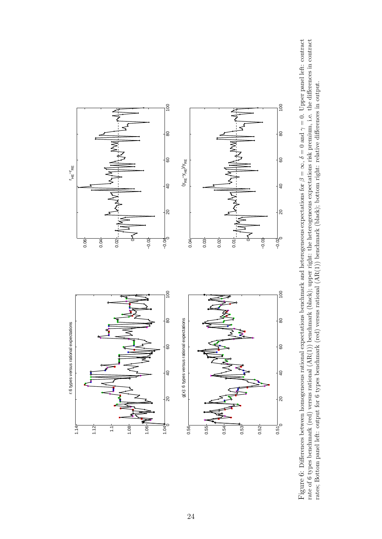

Figure 6: Differences between homogeneous rational expectations benchmark and heterogeneous expectations for  $\beta = \infty$ ,  $\delta = 0$  and  $\gamma = 0$ . Upper panel left: contract rate of 6 types benchmark (red) versus rational (AR(1)) benchmark (black); upper right: the heterogeneous expectations risk premium, i.e. the differences in contract rates; Bottom panel left: output for 6 types benchmark Figure 6: Differences between homogeneous rational expectations benchmark and heterogeneous expectations for  $\beta = \infty$ ,  $\delta = 0$  and  $\gamma = 0$ . Upper panel left: contract rate of 6 types benchmark (red) versus rational (AR(1)) benchmark (black); upper right: the heterogeneous expectations risk premium, i.e. the differences in contract rates; Bottom panel left: output for 6 types benchmark (red) versus rational (AR(1)) benchmark (black); bottom right: relative differences in output.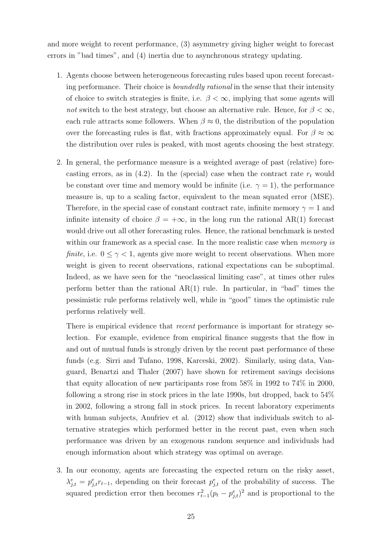and more weight to recent performance, (3) asymmetry giving higher weight to forecast errors in "bad times", and (4) inertia due to asynchronous strategy updating.

- 1. Agents choose between heterogeneous forecasting rules based upon recent forecasting performance. Their choice is boundedly rational in the sense that their intensity of choice to switch strategies is finite, i.e.  $\beta < \infty$ , implying that some agents will not switch to the best strategy, but choose an alternative rule. Hence, for  $\beta < \infty$ , each rule attracts some followers. When  $\beta \approx 0$ , the distribution of the population over the forecasting rules is flat, with fractions approximately equal. For  $\beta \approx \infty$ the distribution over rules is peaked, with most agents choosing the best strategy.
- 2. In general, the performance measure is a weighted average of past (relative) forecasting errors, as in  $(4.2)$ . In the (special) case when the contract rate  $r_t$  would be constant over time and memory would be infinite (i.e.  $\gamma = 1$ ), the performance measure is, up to a scaling factor, equivalent to the mean squated error (MSE). Therefore, in the special case of constant contract rate, infinite memory  $\gamma = 1$  and infinite intensity of choice  $\beta = +\infty$ , in the long run the rational AR(1) forecast would drive out all other forecasting rules. Hence, the rational benchmark is nested within our framework as a special case. In the more realistic case when *memory is* finite, i.e.  $0 \leq \gamma < 1$ , agents give more weight to recent observations. When more weight is given to recent observations, rational expectations can be suboptimal. Indeed, as we have seen for the "neoclassical limiting case", at times other rules perform better than the rational  $AR(1)$  rule. In particular, in "bad" times the pessimistic rule performs relatively well, while in "good" times the optimistic rule performs relatively well.

There is empirical evidence that *recent* performance is important for strategy selection. For example, evidence from empirical finance suggests that the flow in and out of mutual funds is strongly driven by the recent past performance of these funds (e.g. Sirri and Tufano, 1998, Karceski, 2002). Similarly, using data, Vanguard, Benartzi and Thaler (2007) have shown for retirement savings decisions that equity allocation of new participants rose from 58% in 1992 to 74% in 2000, following a strong rise in stock prices in the late 1990s, but dropped, back to 54% in 2002, following a strong fall in stock prices. In recent laboratory experiments with human subjects, Anufriev et al. (2012) show that individuals switch to alternative strategies which performed better in the recent past, even when such performance was driven by an exogenous random sequence and individuals had enough information about which strategy was optimal on average.

3. In our economy, agents are forecasting the expected return on the risky asset,  $\lambda_{j,t}^e = p_{j,t}^e r_{t-1}$ , depending on their forecast  $p_{j,t}^e$  of the probability of success. The squared prediction error then becomes  $r_{t-1}^2 (p_t - p_{j,t}^e)^2$  and is proportional to the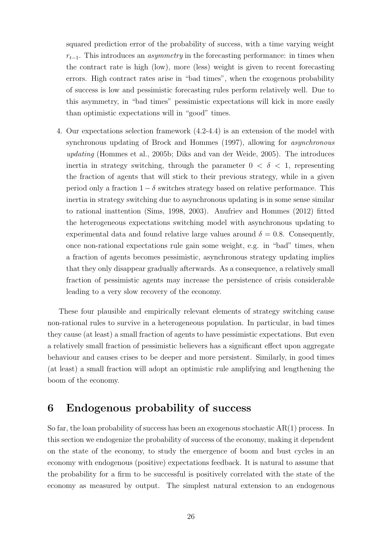squared prediction error of the probability of success, with a time varying weight  $r_{t-1}$ . This introduces an *asymmetry* in the forecasting performance: in times when the contract rate is high (low), more (less) weight is given to recent forecasting errors. High contract rates arise in "bad times", when the exogenous probability of success is low and pessimistic forecasting rules perform relatively well. Due to this asymmetry, in "bad times" pessimistic expectations will kick in more easily than optimistic expectations will in "good" times.

4. Our expectations selection framework (4.2-4.4) is an extension of the model with synchronous updating of Brock and Hommes (1997), allowing for asynchronous updating (Hommes et al., 2005b; Diks and van der Weide, 2005). The introduces inertia in strategy switching, through the parameter  $0 < \delta < 1$ , representing the fraction of agents that will stick to their previous strategy, while in a given period only a fraction  $1 - \delta$  switches strategy based on relative performance. This inertia in strategy switching due to asynchronous updating is in some sense similar to rational inattention (Sims, 1998, 2003). Anufriev and Hommes (2012) fitted the heterogeneous expectations switching model with asynchronous updating to experimental data and found relative large values around  $\delta = 0.8$ . Consequently, once non-rational expectations rule gain some weight, e.g. in "bad" times, when a fraction of agents becomes pessimistic, asynchronous strategy updating implies that they only disappear gradually afterwards. As a consequence, a relatively small fraction of pessimistic agents may increase the persistence of crisis considerable leading to a very slow recovery of the economy.

These four plausible and empirically relevant elements of strategy switching cause non-rational rules to survive in a heterogeneous population. In particular, in bad times they cause (at least) a small fraction of agents to have pessimistic expectations. But even a relatively small fraction of pessimistic believers has a significant effect upon aggregate behaviour and causes crises to be deeper and more persistent. Similarly, in good times (at least) a small fraction will adopt an optimistic rule amplifying and lengthening the boom of the economy.

## 6 Endogenous probability of success

So far, the loan probability of success has been an exogenous stochastic  $AR(1)$  process. In this section we endogenize the probability of success of the economy, making it dependent on the state of the economy, to study the emergence of boom and bust cycles in an economy with endogenous (positive) expectations feedback. It is natural to assume that the probability for a firm to be successful is positively correlated with the state of the economy as measured by output. The simplest natural extension to an endogenous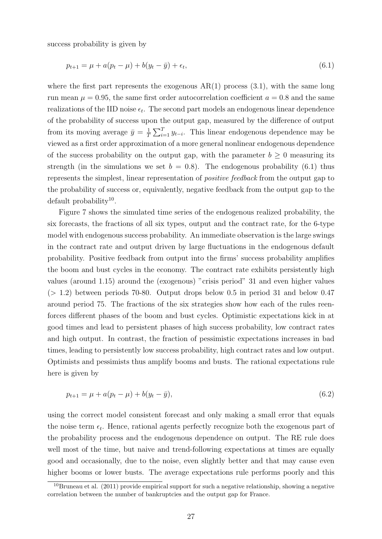success probability is given by

$$
p_{t+1} = \mu + a(p_t - \mu) + b(y_t - \bar{y}) + \epsilon_t, \tag{6.1}
$$

where the first part represents the exogenous  $AR(1)$  process  $(3.1)$ , with the same long run mean  $\mu = 0.95$ , the same first order autocorrelation coefficient  $a = 0.8$  and the same realizations of the IID noise  $\epsilon_t$ . The second part models an endogenous linear dependence of the probability of success upon the output gap, measured by the difference of output from its moving average  $\bar{y} = \frac{1}{7}$  $\frac{1}{T} \sum_{i=1}^{T} y_{t-i}$ . This linear endogenous dependence may be viewed as a first order approximation of a more general nonlinear endogenous dependence of the success probability on the output gap, with the parameter  $b \geq 0$  measuring its strength (in the simulations we set  $b = 0.8$ ). The endogenous probability (6.1) thus represents the simplest, linear representation of positive feedback from the output gap to the probability of success or, equivalently, negative feedback from the output gap to the  $\delta$  default probability<sup>10</sup>.

Figure 7 shows the simulated time series of the endogenous realized probability, the six forecasts, the fractions of all six types, output and the contract rate, for the 6-type model with endogenous success probability. An immediate observation is the large swings in the contract rate and output driven by large fluctuations in the endogenous default probability. Positive feedback from output into the firms' success probability amplifies the boom and bust cycles in the economy. The contract rate exhibits persistently high values (around 1.15) around the (exogenous) "crisis period" 31 and even higher values  $(> 1.2)$  between periods 70-80. Output drops below 0.5 in period 31 and below 0.47 around period 75. The fractions of the six strategies show how each of the rules reenforces different phases of the boom and bust cycles. Optimistic expectations kick in at good times and lead to persistent phases of high success probability, low contract rates and high output. In contrast, the fraction of pessimistic expectations increases in bad times, leading to persistently low success probability, high contract rates and low output. Optimists and pessimists thus amplify booms and busts. The rational expectations rule here is given by

$$
p_{t+1} = \mu + a(p_t - \mu) + b(y_t - \bar{y}), \tag{6.2}
$$

using the correct model consistent forecast and only making a small error that equals the noise term  $\epsilon_t$ . Hence, rational agents perfectly recognize both the exogenous part of the probability process and the endogenous dependence on output. The RE rule does well most of the time, but naive and trend-following expectations at times are equally good and occasionally, due to the noise, even slightly better and that may cause even higher booms or lower busts. The average expectations rule performs poorly and this

 $10B$ Funeau et al. (2011) provide empirical support for such a negative relationship, showing a negative correlation between the number of bankruptcies and the output gap for France.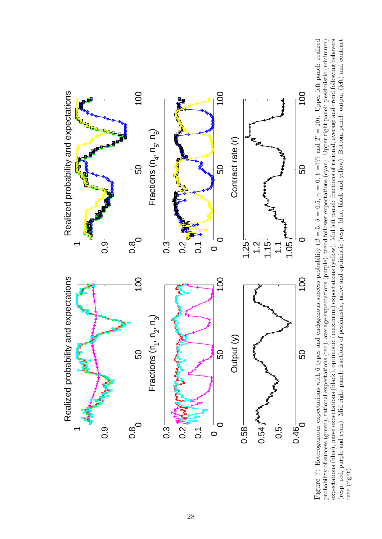

Figure 7: Heterogeneous expectations with 6 types and endogenous success probability ( $\beta = 5$ ,  $\delta = 0.5$ ,  $\gamma = 0$ ,  $b = ?$ ?? and  $T = 10$ ). Upper left panel: realized expectations (blue), naive expectations (black), optimistic (maximum) expectations (yellow). Mid left panel: fractions of rational, average and trend following believers (resp. red, purple and cyan). Mid right panel: fractions of pessimistic, naive and optimistic (resp. blue, black and yellow). Bottom panel: output (left) and contract Figure 7: Heterogeneous expectations with 6 types and endogenous success probability  $(\beta = 5, \delta = 0.5, \gamma = 0, b = ?$ ?? and T = 10). Upper left panel: realized probability of success (green), rational expectations (red), average expectations (purple), trend follower expectations (cyan). Upper right panel: pessimistic (minimum) probability of success (green), rational expectations (red), average expectations (purple), trend follower expectations (cyan). Upper right panel: pessimistic (minimum) expectations (blue), naive expectations (black), optimistic (maximum) expectations (yellow). Mid left panel: fractions of rational, average and trend following believers (resp. red, purple and cyan). Mid right panel: fractions of pessimistic, naive and optimistic (resp. blue, black and yellow). Bottom panel: output (left) and contract rate (right).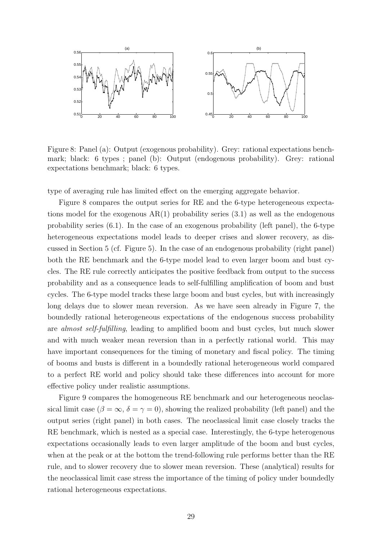

Figure 8: Panel (a): Output (exogenous probability). Grey: rational expectations benchmark; black: 6 types ; panel (b): Output (endogenous probability). Grey: rational expectations benchmark; black: 6 types.

type of averaging rule has limited effect on the emerging aggregate behavior.

Figure 8 compares the output series for RE and the 6-type heterogeneous expectations model for the exogenous  $AR(1)$  probability series  $(3.1)$  as well as the endogenous probability series (6.1). In the case of an exogenous probability (left panel), the 6-type heterogeneous expectations model leads to deeper crises and slower recovery, as discussed in Section 5 (cf. Figure 5). In the case of an endogenous probability (right panel) both the RE benchmark and the 6-type model lead to even larger boom and bust cycles. The RE rule correctly anticipates the positive feedback from output to the success probability and as a consequence leads to self-fulfilling amplification of boom and bust cycles. The 6-type model tracks these large boom and bust cycles, but with increasingly long delays due to slower mean reversion. As we have seen already in Figure 7, the boundedly rational heterogeneous expectations of the endogenous success probability are almost self-fulfilling, leading to amplified boom and bust cycles, but much slower and with much weaker mean reversion than in a perfectly rational world. This may have important consequences for the timing of monetary and fiscal policy. The timing of booms and busts is different in a boundedly rational heterogeneous world compared to a perfect RE world and policy should take these differences into account for more effective policy under realistic assumptions.

Figure 9 compares the homogeneous RE benchmark and our heterogeneous neoclassical limit case  $(\beta = \infty, \delta = \gamma = 0)$ , showing the realized probability (left panel) and the output series (right panel) in both cases. The neoclassical limit case closely tracks the RE benchmark, which is nested as a special case. Interestingly, the 6-type heterogenous expectations occasionally leads to even larger amplitude of the boom and bust cycles, when at the peak or at the bottom the trend-following rule performs better than the RE rule, and to slower recovery due to slower mean reversion. These (analytical) results for the neoclassical limit case stress the importance of the timing of policy under boundedly rational heterogeneous expectations.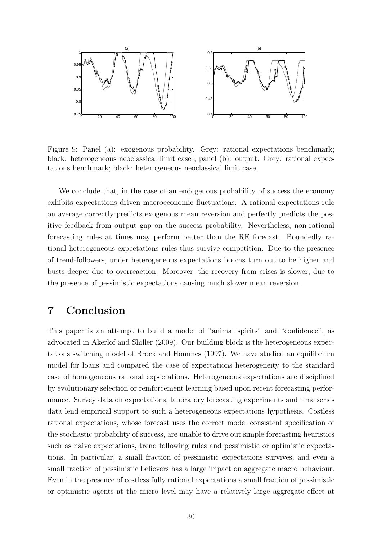

Figure 9: Panel (a): exogenous probability. Grey: rational expectations benchmark; black: heterogeneous neoclassical limit case ; panel (b): output. Grey: rational expectations benchmark; black: heterogeneous neoclassical limit case.

We conclude that, in the case of an endogenous probability of success the economy exhibits expectations driven macroeconomic fluctuations. A rational expectations rule on average correctly predicts exogenous mean reversion and perfectly predicts the positive feedback from output gap on the success probability. Nevertheless, non-rational forecasting rules at times may perform better than the RE forecast. Boundedly rational heterogeneous expectations rules thus survive competition. Due to the presence of trend-followers, under heterogeneous expectations booms turn out to be higher and busts deeper due to overreaction. Moreover, the recovery from crises is slower, due to the presence of pessimistic expectations causing much slower mean reversion.

## 7 Conclusion

This paper is an attempt to build a model of "animal spirits" and "confidence", as advocated in Akerlof and Shiller (2009). Our building block is the heterogeneous expectations switching model of Brock and Hommes (1997). We have studied an equilibrium model for loans and compared the case of expectations heterogeneity to the standard case of homogeneous rational expectations. Heterogeneous expectations are disciplined by evolutionary selection or reinforcement learning based upon recent forecasting performance. Survey data on expectations, laboratory forecasting experiments and time series data lend empirical support to such a heterogeneous expectations hypothesis. Costless rational expectations, whose forecast uses the correct model consistent specification of the stochastic probability of success, are unable to drive out simple forecasting heuristics such as naive expectations, trend following rules and pessimistic or optimistic expectations. In particular, a small fraction of pessimistic expectations survives, and even a small fraction of pessimistic believers has a large impact on aggregate macro behaviour. Even in the presence of costless fully rational expectations a small fraction of pessimistic or optimistic agents at the micro level may have a relatively large aggregate effect at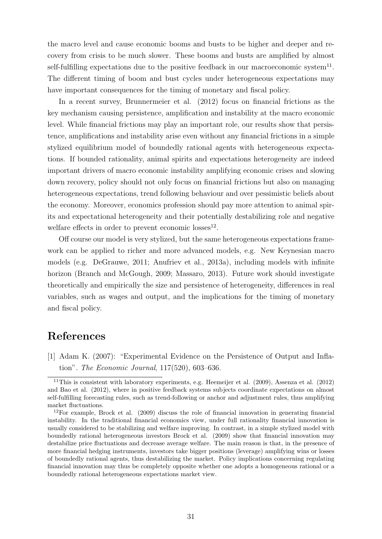the macro level and cause economic booms and busts to be higher and deeper and recovery from crisis to be much slower. These booms and busts are amplified by almost self-fulfilling expectations due to the positive feedback in our macroeconomic system<sup>11</sup>. The different timing of boom and bust cycles under heterogeneous expectations may have important consequences for the timing of monetary and fiscal policy.

In a recent survey, Brunnermeier et al. (2012) focus on financial frictions as the key mechanism causing persistence, amplification and instability at the macro economic level. While financial frictions may play an important role, our results show that persistence, amplifications and instability arise even without any financial frictions in a simple stylized equilibrium model of boundedly rational agents with heterogeneous expectations. If bounded rationality, animal spirits and expectations heterogeneity are indeed important drivers of macro economic instability amplifying economic crises and slowing down recovery, policy should not only focus on financial frictions but also on managing heterogeneous expectations, trend following behaviour and over pessimistic beliefs about the economy. Moreover, economics profession should pay more attention to animal spirits and expectational heterogeneity and their potentially destabilizing role and negative welfare effects in order to prevent economic  $losses<sup>12</sup>$ .

Off course our model is very stylized, but the same heterogeneous expectations framework can be applied to richer and more advanced models, e.g. New Keynesian macro models (e.g. DeGrauwe, 2011; Anufriev et al., 2013a), including models with infinite horizon (Branch and McGough, 2009; Massaro, 2013). Future work should investigate theoretically and empirically the size and persistence of heterogeneity, differences in real variables, such as wages and output, and the implications for the timing of monetary and fiscal policy.

## References

[1] Adam K. (2007): "Experimental Evidence on the Persistence of Output and Inflation". The Economic Journal, 117(520), 603–636.

<sup>11</sup>This is consistent with laboratory experiments, e.g. Heemeijer et al. (2009), Assenza et al. (2012) and Bao et al. (2012), where in positive feedback systems subjects coordinate expectations on almost self-fulfilling forecasting rules, such as trend-following or anchor and adjustment rules, thus amplifying market fluctuations.

 $12$ For example, Brock et al. (2009) discuss the role of financial innovation in generating financial instability. In the traditional financial economics view, under full rationality financial innovation is usually considered to be stabilizing and welfare improving. In contrast, in a simple stylized model with boundedly rational heterogeneous investors Brock et al. (2009) show that financial innovation may destabilize price fluctuations and decrease average welfare. The main reason is that, in the presence of more financial hedging instruments, investors take bigger positions (leverage) amplifying wins or losses of boundedly rational agents, thus destabilizing the market. Policy implications concerning regulating financial innovation may thus be completely opposite whether one adopts a homogeneous rational or a boundedly rational heterogeneous expectations market view.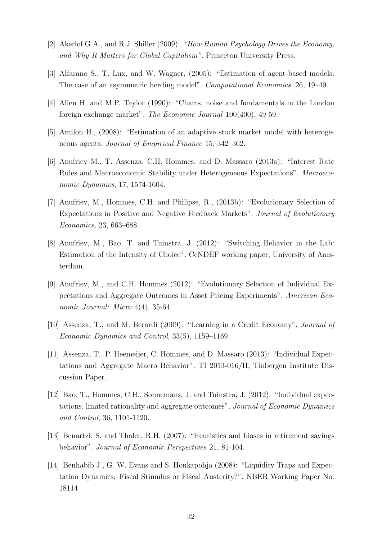- [2] Akerlof G.A., and R.J. Shiller (2009): "How Human Psychology Drives the Economy, and Why It Matters for Global Capitalism". Princeton University Press.
- [3] Alfarano S., T. Lux, and W. Wagner, (2005): "Estimation of agent-based models: The case of an asymmetric herding model". Computational Economics, 26, 19–49.
- [4] Allen H. and M.P. Taylor (1990): "Charts, noise and fundamentals in the London foreign exchange market". The Economic Journal 100(400), 49-59.
- [5] Amilon H., (2008): "Estimation of an adaptive stock market model with heterogeneous agents. Journal of Empirical Finance 15, 342–362.
- [6] Anufriev M., T. Assenza, C.H. Hommes, and D. Massaro (2013a): "Interest Rate Rules and Macroeconomic Stability under Heterogeneous Expectations". Macroeconomic Dynamics, 17, 1574-1604.
- [7] Anufriev, M., Hommes, C.H. and Philipse, R., (2013b): "Evolutionary Selection of Expectations in Positive and Negative Feedback Markets". Journal of Evolutionary Economics, 23, 663–688.
- [8] Anufriev, M., Bao, T. and Tuinstra, J. (2012): "Switching Behavior in the Lab: Estimation of the Intensity of Choice". CeNDEF working paper, University of Amsterdam.
- [9] Anufriev, M., and C.H. Hommes (2012): "Evolutionary Selection of Individual Expectations and Aggregate Outcomes in Asset Pricing Experiments". American Economic Journal: Micro 4(4), 35-64.
- [10] Assenza, T., and M. Berardi (2009): "Learning in a Credit Economy". Journal of Economic Dynamics and Control, 33(5), 1159–1169.
- [11] Assenza, T., P. Heemeijer, C. Hommes, and D. Massaro (2013): "Individual Expectations and Aggregate Macro Behavior". TI 2013-016/II, Tinbergen Institute Discussion Paper.
- [12] Bao, T., Hommes, C.H., Sonnemans, J. and Tuinstra, J. (2012): "Individual expectations, limited rationality and aggregate outcomes". Journal of Economic Dynamics and Control, 36, 1101-1120.
- [13] Benartzi, S. and Thaler, R.H. (2007): "Heuristics and biases in retirement savings behavior". Journal of Economic Perspectives 21, 81-104.
- [14] Benhabib J., G. W. Evans and S. Honkapohja (2008): "Liquidity Traps and Expectation Dynamics: Fiscal Stimulus or Fiscal Austerity?". NBER Working Paper No. 18114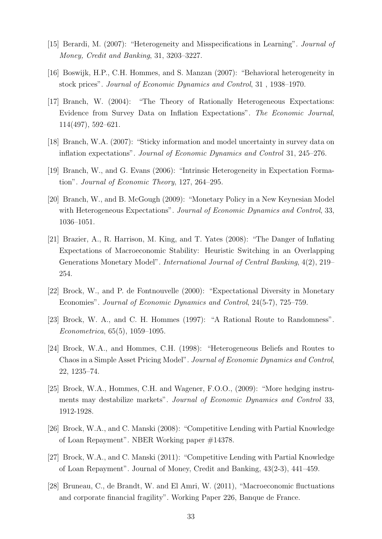- [15] Berardi, M. (2007): "Heterogeneity and Misspecifications in Learning". Journal of Money, Credit and Banking, 31, 3203–3227.
- [16] Boswijk, H.P., C.H. Hommes, and S. Manzan (2007): "Behavioral heterogeneity in stock prices". Journal of Economic Dynamics and Control, 31 , 1938–1970.
- [17] Branch, W. (2004): "The Theory of Rationally Heterogeneous Expectations: Evidence from Survey Data on Inflation Expectations". The Economic Journal, 114(497), 592–621.
- [18] Branch, W.A. (2007): "Sticky information and model uncertainty in survey data on inflation expectations". Journal of Economic Dynamics and Control 31, 245–276.
- [19] Branch, W., and G. Evans (2006): "Intrinsic Heterogeneity in Expectation Formation". Journal of Economic Theory, 127, 264–295.
- [20] Branch, W., and B. McGough (2009): "Monetary Policy in a New Keynesian Model with Heterogeneous Expectations". Journal of Economic Dynamics and Control, 33, 1036–1051.
- [21] Brazier, A., R. Harrison, M. King, and T. Yates (2008): "The Danger of Inflating Expectations of Macroeconomic Stability: Heuristic Switching in an Overlapping Generations Monetary Model". International Journal of Central Banking, 4(2), 219– 254.
- [22] Brock, W., and P. de Fontnouvelle (2000): "Expectational Diversity in Monetary Economies". Journal of Economic Dynamics and Control, 24(5-7), 725–759.
- [23] Brock, W. A., and C. H. Hommes (1997): "A Rational Route to Randomness". Econometrica, 65(5), 1059–1095.
- [24] Brock, W.A., and Hommes, C.H. (1998): "Heterogeneous Beliefs and Routes to Chaos in a Simple Asset Pricing Model". Journal of Economic Dynamics and Control, 22, 1235–74.
- [25] Brock, W.A., Hommes, C.H. and Wagener, F.O.O., (2009): "More hedging instruments may destabilize markets". Journal of Economic Dynamics and Control 33, 1912-1928.
- [26] Brock, W.A., and C. Manski (2008): "Competitive Lending with Partial Knowledge of Loan Repayment". NBER Working paper #14378.
- [27] Brock, W.A., and C. Manski (2011): "Competitive Lending with Partial Knowledge of Loan Repayment". Journal of Money, Credit and Banking, 43(2-3), 441–459.
- [28] Bruneau, C., de Brandt, W. and El Amri, W. (2011), "Macroeconomic fluctuations and corporate financial fragility". Working Paper 226, Banque de France.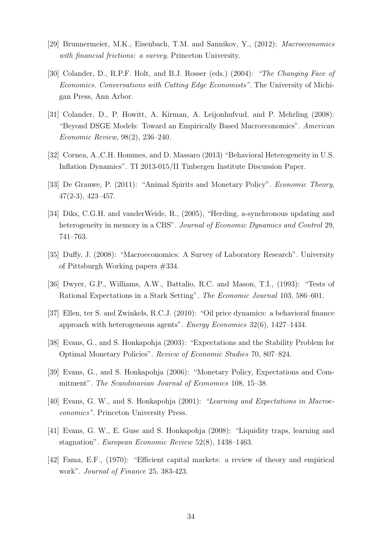- [29] Brunnermeier, M.K., Eisenbach, T.M. and Sannikov, Y., (2012): Macroeconomics with financial frictions: a survey. Princeton University.
- [30] Colander, D., R.P.F. Holt, and B.J. Rosser (eds.) (2004): "The Changing Face of Economics. Conversations with Cutting Edge Economists". The University of Michigan Press, Ann Arbor.
- [31] Colander, D., P. Howitt, A. Kirman, A. Leijonhufvud, and P. Mehrling (2008): "Beyond DSGE Models: Toward an Empirically Based Macroeconomics". American Economic Review, 98(2), 236–240.
- [32] Cornea, A.,C.H. Hommes, and D. Massaro (2013) "Behavioral Heterogeneity in U.S. Inflation Dynamics". TI 2013-015/II Tinbergen Institute Discussion Paper.
- [33] De Grauwe, P. (2011): "Animal Spirits and Monetary Policy". Economic Theory, 47(2-3), 423–457.
- [34] Diks, C.G.H. and vanderWeide, R., (2005), "Herding, a-synchronous updating and heterogeneity in memory in a CBS". Journal of Economic Dynamics and Control 29, 741–763.
- [35] Duffy, J. (2008): "Macroeconomics: A Survey of Laboratory Research". University of Pittsburgh Working papers #334.
- [36] Dwyer, G.P., Williams, A.W., Battalio, R.C. and Mason, T.I., (1993): "Tests of Rational Expectations in a Stark Setting". The Economic Journal 103, 586–601.
- [37] Ellen, ter S. and Zwinkels, R.C.J. (2010): "Oil price dynamics: a behavioral finance approach with heterogeneous agents". Energy Economics 32(6), 1427–1434.
- [38] Evans, G., and S. Honkapohja (2003): "Expectations and the Stability Problem for Optimal Monetary Policies". Review of Economic Studies 70, 807–824.
- [39] Evans, G., and S. Honkapohja (2006): "Monetary Policy, Expectations and Commitment". The Scandinavian Journal of Economics 108, 15–38.
- [40] Evans, G. W., and S. Honkapohja (2001): "Learning and Expectations in Macroeconomics". Princeton University Press.
- [41] Evans, G. W., E. Guse and S. Honkapohja (2008): "Liquidity traps, learning and stagnation". European Economic Review 52(8), 1438–1463.
- [42] Fama, E.F., (1970): "Efficient capital markets: a review of theory and empirical work". Journal of Finance 25, 383-423.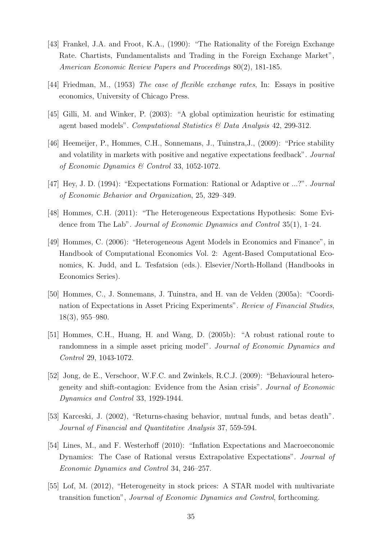- [43] Frankel, J.A. and Froot, K.A., (1990): "The Rationality of the Foreign Exchange Rate. Chartists, Fundamentalists and Trading in the Foreign Exchange Market", American Economic Review Papers and Proceedings 80(2), 181-185.
- [44] Friedman, M., (1953) The case of flexible exchange rates, In: Essays in positive economics, University of Chicago Press.
- [45] Gilli, M. and Winker, P. (2003): "A global optimization heuristic for estimating agent based models". Computational Statistics & Data Analysis 42, 299-312.
- [46] Heemeijer, P., Hommes, C.H., Sonnemans, J., Tuinstra,J., (2009): "Price stability and volatility in markets with positive and negative expectations feedback". Journal of Economic Dynamics & Control 33, 1052-1072.
- [47] Hey, J. D. (1994): "Expectations Formation: Rational or Adaptive or ...?". Journal of Economic Behavior and Organization, 25, 329–349.
- [48] Hommes, C.H. (2011): "The Heterogeneous Expectations Hypothesis: Some Evidence from The Lab". Journal of Economic Dynamics and Control 35(1), 1–24.
- [49] Hommes, C. (2006): "Heterogeneous Agent Models in Economics and Finance", in Handbook of Computational Economics Vol. 2: Agent-Based Computational Economics, K. Judd, and L. Tesfatsion (eds.). Elsevier/North-Holland (Handbooks in Economics Series).
- [50] Hommes, C., J. Sonnemans, J. Tuinstra, and H. van de Velden (2005a): "Coordination of Expectations in Asset Pricing Experiments". Review of Financial Studies, 18(3), 955–980.
- [51] Hommes, C.H., Huang, H. and Wang, D. (2005b): "A robust rational route to randomness in a simple asset pricing model". Journal of Economic Dynamics and Control 29, 1043-1072.
- [52] Jong, de E., Verschoor, W.F.C. and Zwinkels, R.C.J. (2009): "Behavioural heterogeneity and shift-contagion: Evidence from the Asian crisis". Journal of Economic Dynamics and Control 33, 1929-1944.
- [53] Karceski, J. (2002), "Returns-chasing behavior, mutual funds, and betas death". Journal of Financial and Quantitative Analysis 37, 559-594.
- [54] Lines, M., and F. Westerhoff (2010): "Inflation Expectations and Macroeconomic Dynamics: The Case of Rational versus Extrapolative Expectations". Journal of Economic Dynamics and Control 34, 246–257.
- [55] Lof, M. (2012), "Heterogeneity in stock prices: A STAR model with multivariate transition function", Journal of Economic Dynamics and Control, forthcoming.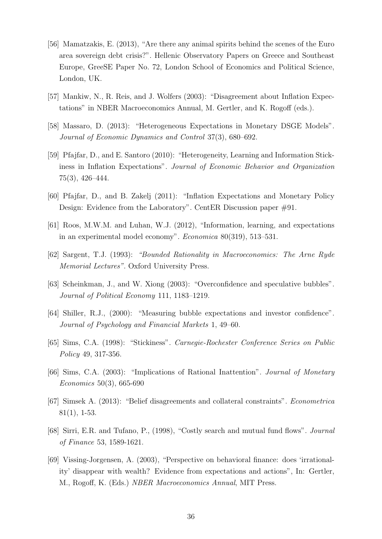- [56] Mamatzakis, E. (2013), "Are there any animal spirits behind the scenes of the Euro area sovereign debt crisis?". Hellenic Observatory Papers on Greece and Southeast Europe, GreeSE Paper No. 72, London School of Economics and Political Science, London, UK.
- [57] Mankiw, N., R. Reis, and J. Wolfers (2003): "Disagreement about Inflation Expectations" in NBER Macroeconomics Annual, M. Gertler, and K. Rogoff (eds.).
- [58] Massaro, D. (2013): "Heterogeneous Expectations in Monetary DSGE Models". Journal of Economic Dynamics and Control 37(3), 680–692.
- [59] Pfajfar, D., and E. Santoro (2010): "Heterogeneity, Learning and Information Stickiness in Inflation Expectations". Journal of Economic Behavior and Organization 75(3), 426–444.
- [60] Pfajfar, D., and B. Zakelj (2011): "Inflation Expectations and Monetary Policy Design: Evidence from the Laboratory". CentER Discussion paper #91.
- [61] Roos, M.W.M. and Luhan, W.J. (2012), "Information, learning, and expectations in an experimental model economy". Economica 80(319), 513–531.
- [62] Sargent, T.J. (1993): "Bounded Rationality in Macroeconomics: The Arne Ryde Memorial Lectures". Oxford University Press.
- [63] Scheinkman, J., and W. Xiong (2003): "Overconfidence and speculative bubbles". Journal of Political Economy 111, 1183–1219.
- [64] Shiller, R.J., (2000): "Measuring bubble expectations and investor confidence". Journal of Psychology and Financial Markets 1, 49–60.
- [65] Sims, C.A. (1998): "Stickiness". Carnegie-Rochester Conference Series on Public Policy 49, 317-356.
- [66] Sims, C.A. (2003): "Implications of Rational Inattention". Journal of Monetary Economics 50(3), 665-690
- [67] Simsek A. (2013): "Belief disagreements and collateral constraints". Econometrica 81(1), 1-53.
- [68] Sirri, E.R. and Tufano, P., (1998), "Costly search and mutual fund flows". Journal of Finance 53, 1589-1621.
- [69] Vissing-Jorgensen, A. (2003), "Perspective on behavioral finance: does 'irrationality' disappear with wealth? Evidence from expectations and actions", In: Gertler, M., Rogoff, K. (Eds.) NBER Macroeconomics Annual, MIT Press.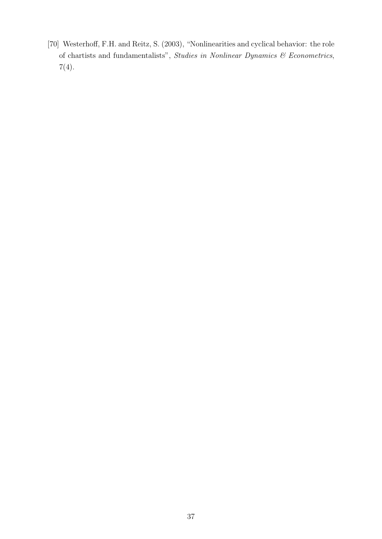[70] Westerhoff, F.H. and Reitz, S. (2003), "Nonlinearities and cyclical behavior: the role of chartists and fundamentalists", Studies in Nonlinear Dynamics  $\mathcal C$  Econometrics, 7(4).